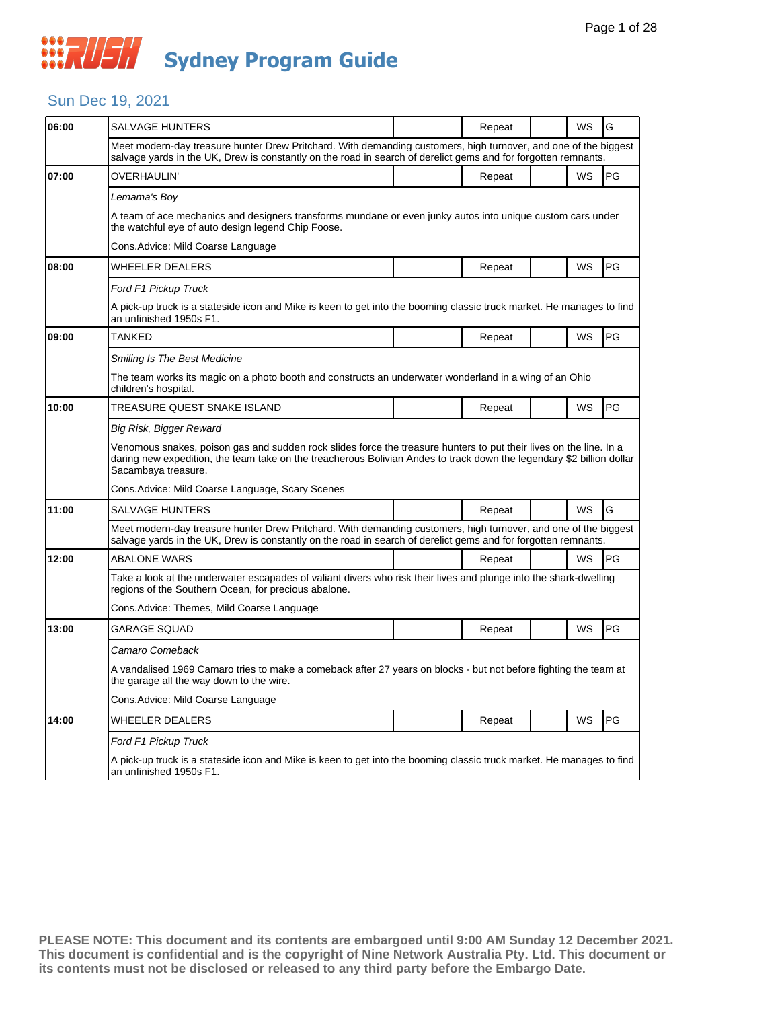### Sun Dec 19, 2021

| 06:00 | SALVAGE HUNTERS                                                                                                                                                                                                                                                    |  | Repeat |  | WS        | G  |  |  |
|-------|--------------------------------------------------------------------------------------------------------------------------------------------------------------------------------------------------------------------------------------------------------------------|--|--------|--|-----------|----|--|--|
|       | Meet modern-day treasure hunter Drew Pritchard. With demanding customers, high turnover, and one of the biggest<br>salvage yards in the UK, Drew is constantly on the road in search of derelict gems and for forgotten remnants.                                  |  |        |  |           |    |  |  |
| 07:00 | OVERHAULIN'                                                                                                                                                                                                                                                        |  | Repeat |  | WS        | PG |  |  |
|       | Lemama's Boy                                                                                                                                                                                                                                                       |  |        |  |           |    |  |  |
|       | A team of ace mechanics and designers transforms mundane or even junky autos into unique custom cars under<br>the watchful eye of auto design legend Chip Foose.                                                                                                   |  |        |  |           |    |  |  |
|       | Cons. Advice: Mild Coarse Language                                                                                                                                                                                                                                 |  |        |  |           |    |  |  |
| 08:00 | <b>WHEELER DEALERS</b>                                                                                                                                                                                                                                             |  | Repeat |  | WS        | PG |  |  |
|       | Ford F1 Pickup Truck                                                                                                                                                                                                                                               |  |        |  |           |    |  |  |
|       | A pick-up truck is a stateside icon and Mike is keen to get into the booming classic truck market. He manages to find<br>an unfinished 1950s F1.                                                                                                                   |  |        |  |           |    |  |  |
| 09:00 | TANKED                                                                                                                                                                                                                                                             |  | Repeat |  | WS        | PG |  |  |
|       | Smiling Is The Best Medicine                                                                                                                                                                                                                                       |  |        |  |           |    |  |  |
|       | The team works its magic on a photo booth and constructs an underwater wonderland in a wing of an Ohio<br>children's hospital.                                                                                                                                     |  |        |  |           |    |  |  |
| 10:00 | TREASURE QUEST SNAKE ISLAND                                                                                                                                                                                                                                        |  | Repeat |  | <b>WS</b> | PG |  |  |
|       | Big Risk, Bigger Reward                                                                                                                                                                                                                                            |  |        |  |           |    |  |  |
|       | Venomous snakes, poison gas and sudden rock slides force the treasure hunters to put their lives on the line. In a<br>daring new expedition, the team take on the treacherous Bolivian Andes to track down the legendary \$2 billion dollar<br>Sacambaya treasure. |  |        |  |           |    |  |  |
|       | Cons. Advice: Mild Coarse Language, Scary Scenes                                                                                                                                                                                                                   |  |        |  |           |    |  |  |
| 11:00 | <b>SALVAGE HUNTERS</b>                                                                                                                                                                                                                                             |  | Repeat |  | <b>WS</b> | G  |  |  |
|       | Meet modern-day treasure hunter Drew Pritchard. With demanding customers, high turnover, and one of the biggest<br>salvage yards in the UK, Drew is constantly on the road in search of derelict gems and for forgotten remnants.                                  |  |        |  |           |    |  |  |
| 12:00 | <b>ABALONE WARS</b>                                                                                                                                                                                                                                                |  | Repeat |  | WS        | PG |  |  |
|       | Take a look at the underwater escapades of valiant divers who risk their lives and plunge into the shark-dwelling<br>regions of the Southern Ocean, for precious abalone.                                                                                          |  |        |  |           |    |  |  |
|       | Cons.Advice: Themes, Mild Coarse Language                                                                                                                                                                                                                          |  |        |  |           |    |  |  |
| 13:00 | GARAGE SQUAD                                                                                                                                                                                                                                                       |  | Repeat |  | WS        | PG |  |  |
|       | Camaro Comeback                                                                                                                                                                                                                                                    |  |        |  |           |    |  |  |
|       | A vandalised 1969 Camaro tries to make a comeback after 27 years on blocks - but not before fighting the team at<br>the garage all the way down to the wire.                                                                                                       |  |        |  |           |    |  |  |
|       | Cons.Advice: Mild Coarse Language                                                                                                                                                                                                                                  |  |        |  |           |    |  |  |
| 14:00 | WHEELER DEALERS                                                                                                                                                                                                                                                    |  | Repeat |  | WS        | PG |  |  |
|       | Ford F1 Pickup Truck                                                                                                                                                                                                                                               |  |        |  |           |    |  |  |
|       | A pick-up truck is a stateside icon and Mike is keen to get into the booming classic truck market. He manages to find<br>an unfinished 1950s F1.                                                                                                                   |  |        |  |           |    |  |  |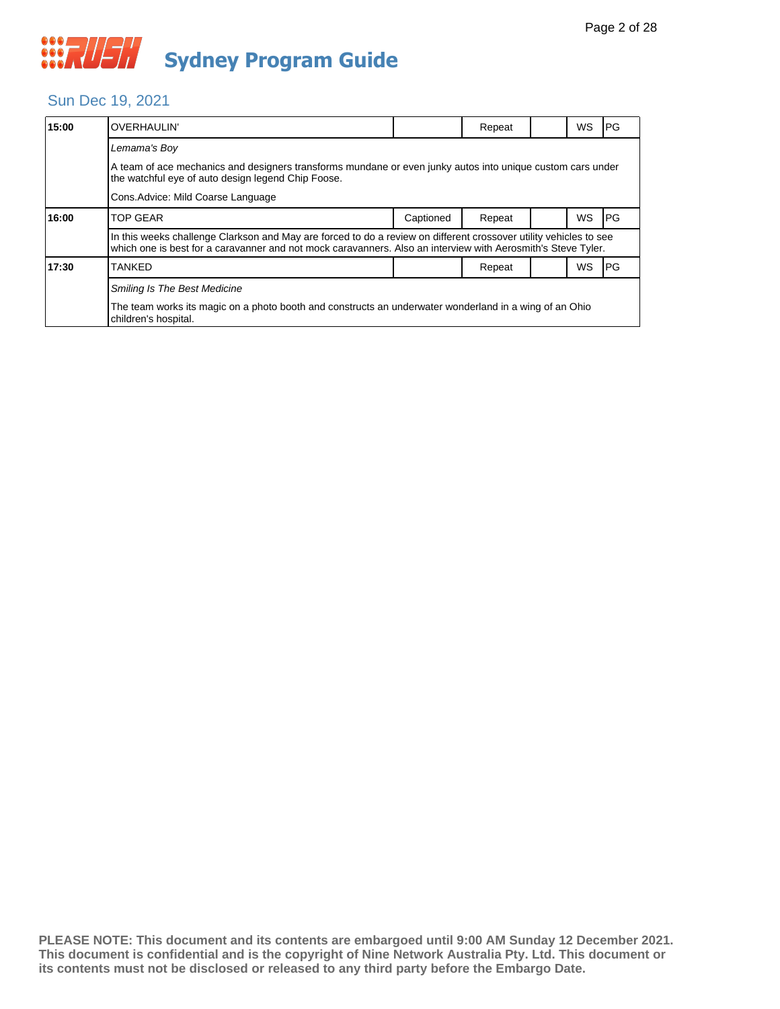## Sun Dec 19, 2021

| 15:00 | <b>OVERHAULIN'</b>                                                                                                                                                                                                                |           | Repeat |  | <b>WS</b> | PG        |  |  |  |
|-------|-----------------------------------------------------------------------------------------------------------------------------------------------------------------------------------------------------------------------------------|-----------|--------|--|-----------|-----------|--|--|--|
|       | Lemama's Boy                                                                                                                                                                                                                      |           |        |  |           |           |  |  |  |
|       | A team of ace mechanics and designers transforms mundane or even junky autos into unique custom cars under<br>the watchful eye of auto design legend Chip Foose.                                                                  |           |        |  |           |           |  |  |  |
|       | Cons. Advice: Mild Coarse Language                                                                                                                                                                                                |           |        |  |           |           |  |  |  |
| 16:00 | <b>TOP GEAR</b>                                                                                                                                                                                                                   | Captioned | Repeat |  | WS        | PG        |  |  |  |
|       | In this weeks challenge Clarkson and May are forced to do a review on different crossover utility vehicles to see<br>which one is best for a caravanner and not mock caravanners. Also an interview with Aerosmith's Steve Tyler. |           |        |  |           |           |  |  |  |
| 17:30 | <b>TANKED</b>                                                                                                                                                                                                                     |           | Repeat |  | WS        | <b>PG</b> |  |  |  |
|       | <b>Smiling Is The Best Medicine</b>                                                                                                                                                                                               |           |        |  |           |           |  |  |  |
|       | The team works its magic on a photo booth and constructs an underwater wonderland in a wing of an Ohio<br>children's hospital.                                                                                                    |           |        |  |           |           |  |  |  |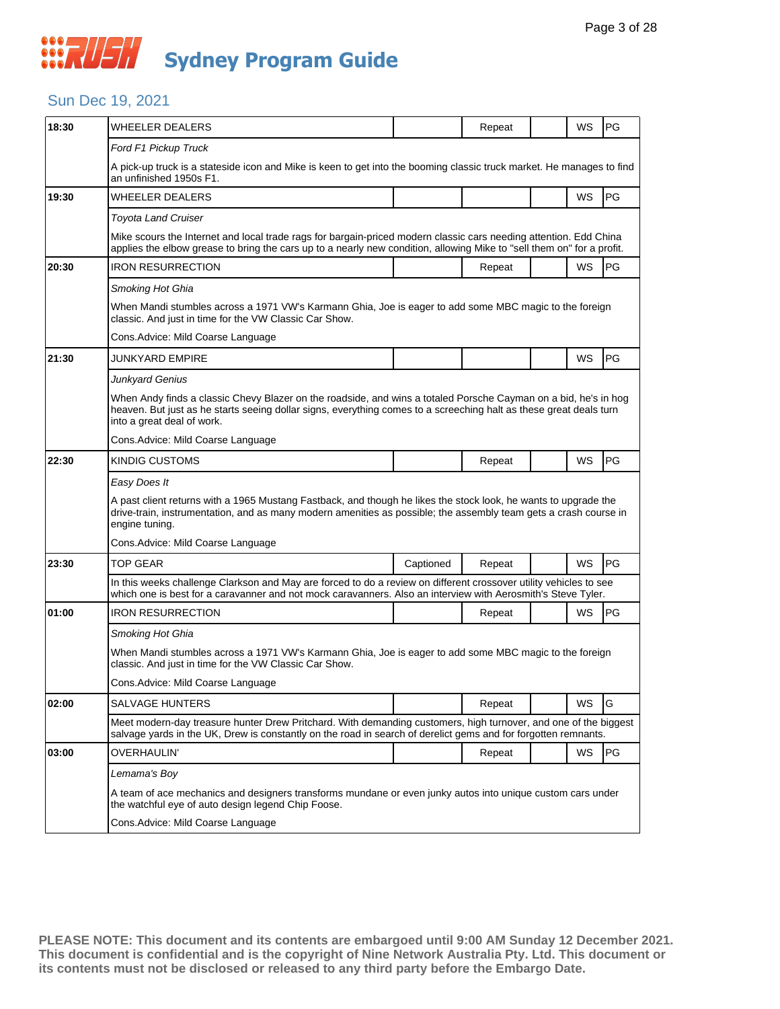### Sun Dec 19, 2021

| 18:30 | WHEELER DEALERS                                                                                                                                                                                                                                                     |           | Repeat |  | WS        | PG        |  |
|-------|---------------------------------------------------------------------------------------------------------------------------------------------------------------------------------------------------------------------------------------------------------------------|-----------|--------|--|-----------|-----------|--|
|       | Ford F1 Pickup Truck                                                                                                                                                                                                                                                |           |        |  |           |           |  |
|       | A pick-up truck is a stateside icon and Mike is keen to get into the booming classic truck market. He manages to find<br>an unfinished 1950s F1.                                                                                                                    |           |        |  |           |           |  |
| 19:30 | <b>WHEELER DEALERS</b>                                                                                                                                                                                                                                              |           |        |  | WS        | PG        |  |
|       | <b>Toyota Land Cruiser</b>                                                                                                                                                                                                                                          |           |        |  |           |           |  |
|       | Mike scours the Internet and local trade rags for bargain-priced modern classic cars needing attention. Edd China<br>applies the elbow grease to bring the cars up to a nearly new condition, allowing Mike to "sell them on" for a profit.                         |           |        |  |           |           |  |
| 20:30 | <b>IRON RESURRECTION</b>                                                                                                                                                                                                                                            |           | Repeat |  | WS        | <b>PG</b> |  |
|       | Smoking Hot Ghia                                                                                                                                                                                                                                                    |           |        |  |           |           |  |
|       | When Mandi stumbles across a 1971 VW's Karmann Ghia, Joe is eager to add some MBC magic to the foreign<br>classic. And just in time for the VW Classic Car Show.                                                                                                    |           |        |  |           |           |  |
|       | Cons.Advice: Mild Coarse Language                                                                                                                                                                                                                                   |           |        |  |           |           |  |
| 21:30 | JUNKYARD EMPIRE                                                                                                                                                                                                                                                     |           |        |  | WS        | PG        |  |
|       | Junkyard Genius                                                                                                                                                                                                                                                     |           |        |  |           |           |  |
|       | When Andy finds a classic Chevy Blazer on the roadside, and wins a totaled Porsche Cayman on a bid, he's in hog<br>heaven. But just as he starts seeing dollar signs, everything comes to a screeching halt as these great deals turn<br>into a great deal of work. |           |        |  |           |           |  |
|       | Cons.Advice: Mild Coarse Language                                                                                                                                                                                                                                   |           |        |  |           |           |  |
| 22:30 | KINDIG CUSTOMS                                                                                                                                                                                                                                                      |           | Repeat |  | WS        | PG        |  |
|       | Easy Does It                                                                                                                                                                                                                                                        |           |        |  |           |           |  |
|       | A past client returns with a 1965 Mustang Fastback, and though he likes the stock look, he wants to upgrade the<br>drive-train, instrumentation, and as many modern amenities as possible; the assembly team gets a crash course in<br>engine tuning.               |           |        |  |           |           |  |
|       | Cons. Advice: Mild Coarse Language                                                                                                                                                                                                                                  |           |        |  |           |           |  |
| 23:30 | <b>TOP GEAR</b>                                                                                                                                                                                                                                                     | Captioned | Repeat |  | WS        | PG        |  |
|       | In this weeks challenge Clarkson and May are forced to do a review on different crossover utility vehicles to see<br>which one is best for a caravanner and not mock caravanners. Also an interview with Aerosmith's Steve Tyler.                                   |           |        |  |           |           |  |
| 01:00 | IRON RESURRECTION                                                                                                                                                                                                                                                   |           | Repeat |  | WS        | PG        |  |
|       | Smoking Hot Ghia                                                                                                                                                                                                                                                    |           |        |  |           |           |  |
|       | When Mandi stumbles across a 1971 VW's Karmann Ghia, Joe is eager to add some MBC magic to the foreign<br>classic. And just in time for the VW Classic Car Show.                                                                                                    |           |        |  |           |           |  |
|       | Cons. Advice: Mild Coarse Language                                                                                                                                                                                                                                  |           |        |  |           |           |  |
| 02:00 | <b>SALVAGE HUNTERS</b>                                                                                                                                                                                                                                              |           | Repeat |  | WS        | G         |  |
|       | Meet modern-day treasure hunter Drew Pritchard. With demanding customers, high turnover, and one of the biggest<br>salvage yards in the UK, Drew is constantly on the road in search of derelict gems and for forgotten remnants.                                   |           |        |  |           |           |  |
| 03:00 | OVERHAULIN'                                                                                                                                                                                                                                                         |           | Repeat |  | <b>WS</b> | PG        |  |
|       | Lemama's Bov                                                                                                                                                                                                                                                        |           |        |  |           |           |  |
|       | A team of ace mechanics and designers transforms mundane or even junky autos into unique custom cars under<br>the watchful eye of auto design legend Chip Foose.                                                                                                    |           |        |  |           |           |  |
|       | Cons.Advice: Mild Coarse Language                                                                                                                                                                                                                                   |           |        |  |           |           |  |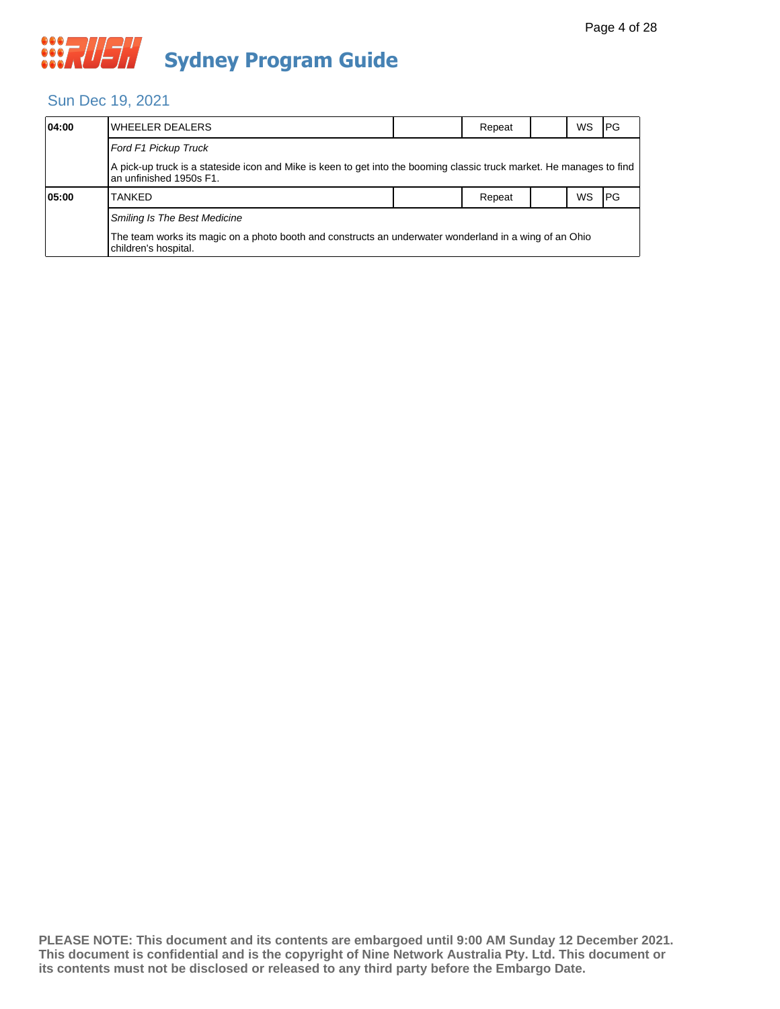## Sun Dec 19, 2021

| 04:00 | WHEELER DEALERS                                                                                                                                  |  | Repeat |  | WS.       | <b>IPG</b> |  |  |
|-------|--------------------------------------------------------------------------------------------------------------------------------------------------|--|--------|--|-----------|------------|--|--|
|       | Ford F1 Pickup Truck                                                                                                                             |  |        |  |           |            |  |  |
|       | A pick-up truck is a stateside icon and Mike is keen to get into the booming classic truck market. He manages to find<br>an unfinished 1950s F1. |  |        |  |           |            |  |  |
| 05:00 | <b>TANKED</b>                                                                                                                                    |  | Repeat |  | <b>WS</b> | <b>IPG</b> |  |  |
|       | <b>Smiling Is The Best Medicine</b>                                                                                                              |  |        |  |           |            |  |  |
|       | The team works its magic on a photo booth and constructs an underwater wonderland in a wing of an Ohio<br>children's hospital.                   |  |        |  |           |            |  |  |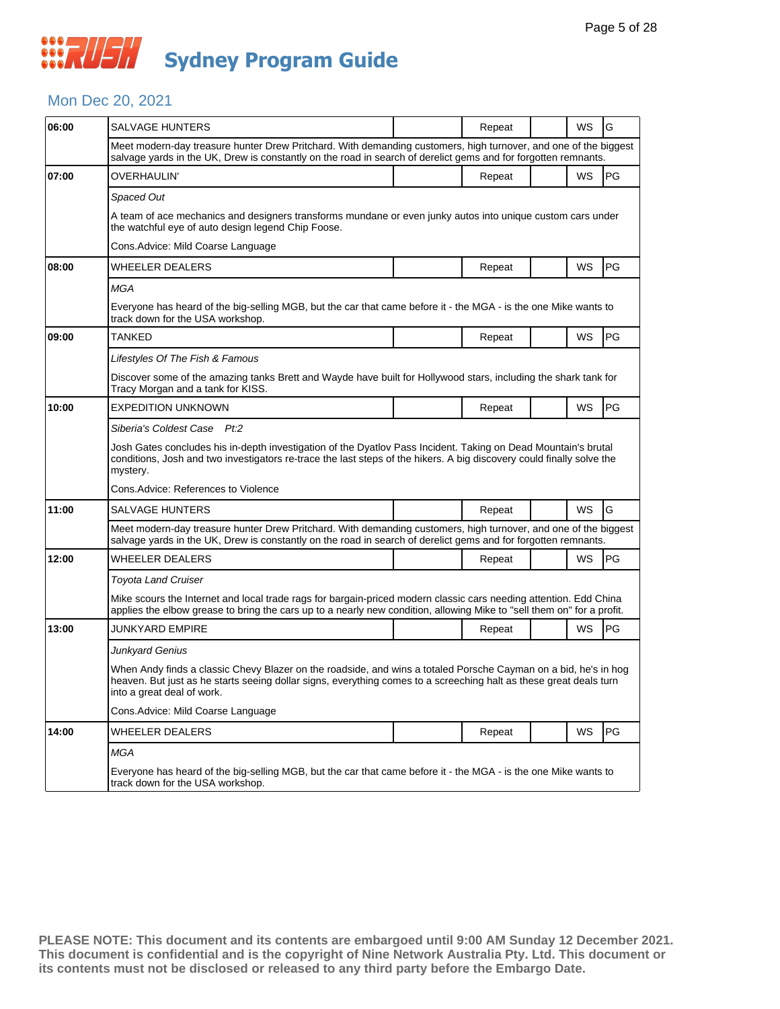#### Mon Dec 20, 2021

| 06:00 | SALVAGE HUNTERS                                                                                                                                                                                                                                                     |  | Repeat |  | WS        | G         |  |  |  |
|-------|---------------------------------------------------------------------------------------------------------------------------------------------------------------------------------------------------------------------------------------------------------------------|--|--------|--|-----------|-----------|--|--|--|
|       | Meet modern-day treasure hunter Drew Pritchard. With demanding customers, high turnover, and one of the biggest<br>salvage yards in the UK, Drew is constantly on the road in search of derelict gems and for forgotten remnants.                                   |  |        |  |           |           |  |  |  |
| 07:00 | OVERHAULIN'                                                                                                                                                                                                                                                         |  | Repeat |  | <b>WS</b> | PG        |  |  |  |
|       | Spaced Out                                                                                                                                                                                                                                                          |  |        |  |           |           |  |  |  |
|       | A team of ace mechanics and designers transforms mundane or even junky autos into unique custom cars under<br>the watchful eye of auto design legend Chip Foose.                                                                                                    |  |        |  |           |           |  |  |  |
|       | Cons.Advice: Mild Coarse Language                                                                                                                                                                                                                                   |  |        |  |           |           |  |  |  |
| 08:00 | WHEELER DEALERS                                                                                                                                                                                                                                                     |  | Repeat |  | WS        | <b>PG</b> |  |  |  |
|       | <b>MGA</b>                                                                                                                                                                                                                                                          |  |        |  |           |           |  |  |  |
|       | Everyone has heard of the big-selling MGB, but the car that came before it - the MGA - is the one Mike wants to<br>track down for the USA workshop.                                                                                                                 |  |        |  |           |           |  |  |  |
| 09:00 | TANKED                                                                                                                                                                                                                                                              |  | Repeat |  | WS        | PG        |  |  |  |
|       | Lifestyles Of The Fish & Famous                                                                                                                                                                                                                                     |  |        |  |           |           |  |  |  |
|       | Discover some of the amazing tanks Brett and Wayde have built for Hollywood stars, including the shark tank for<br>Tracy Morgan and a tank for KISS.                                                                                                                |  |        |  |           |           |  |  |  |
| 10:00 | <b>EXPEDITION UNKNOWN</b>                                                                                                                                                                                                                                           |  | Repeat |  | WS        | PG        |  |  |  |
|       | Siberia's Coldest Case Pt:2                                                                                                                                                                                                                                         |  |        |  |           |           |  |  |  |
|       | Josh Gates concludes his in-depth investigation of the Dyatlov Pass Incident. Taking on Dead Mountain's brutal<br>conditions, Josh and two investigators re-trace the last steps of the hikers. A big discovery could finally solve the<br>mystery.                 |  |        |  |           |           |  |  |  |
|       | Cons.Advice: References to Violence                                                                                                                                                                                                                                 |  |        |  |           |           |  |  |  |
| 11:00 | <b>SALVAGE HUNTERS</b>                                                                                                                                                                                                                                              |  | Repeat |  | WS        | G         |  |  |  |
|       | Meet modern-day treasure hunter Drew Pritchard. With demanding customers, high turnover, and one of the biggest<br>salvage yards in the UK, Drew is constantly on the road in search of derelict gems and for forgotten remnants.                                   |  |        |  |           |           |  |  |  |
| 12:00 | WHEELER DEALERS                                                                                                                                                                                                                                                     |  | Repeat |  | WS        | PG        |  |  |  |
|       | Toyota Land Cruiser                                                                                                                                                                                                                                                 |  |        |  |           |           |  |  |  |
|       | Mike scours the Internet and local trade rags for bargain-priced modern classic cars needing attention. Edd China<br>applies the elbow grease to bring the cars up to a nearly new condition, allowing Mike to "sell them on" for a profit.                         |  |        |  |           |           |  |  |  |
| 13:00 | JUNKYARD EMPIRE                                                                                                                                                                                                                                                     |  | Repeat |  | WS        | PG        |  |  |  |
|       | Junkyard Genius                                                                                                                                                                                                                                                     |  |        |  |           |           |  |  |  |
|       | When Andy finds a classic Chevy Blazer on the roadside, and wins a totaled Porsche Cayman on a bid, he's in hog<br>heaven. But just as he starts seeing dollar signs, everything comes to a screeching halt as these great deals turn<br>into a great deal of work. |  |        |  |           |           |  |  |  |
|       | Cons. Advice: Mild Coarse Language                                                                                                                                                                                                                                  |  |        |  |           |           |  |  |  |
| 14:00 | WHEELER DEALERS                                                                                                                                                                                                                                                     |  | Repeat |  | WS        | PG        |  |  |  |
|       | MGA                                                                                                                                                                                                                                                                 |  |        |  |           |           |  |  |  |
|       | Everyone has heard of the big-selling MGB, but the car that came before it - the MGA - is the one Mike wants to<br>track down for the USA workshop.                                                                                                                 |  |        |  |           |           |  |  |  |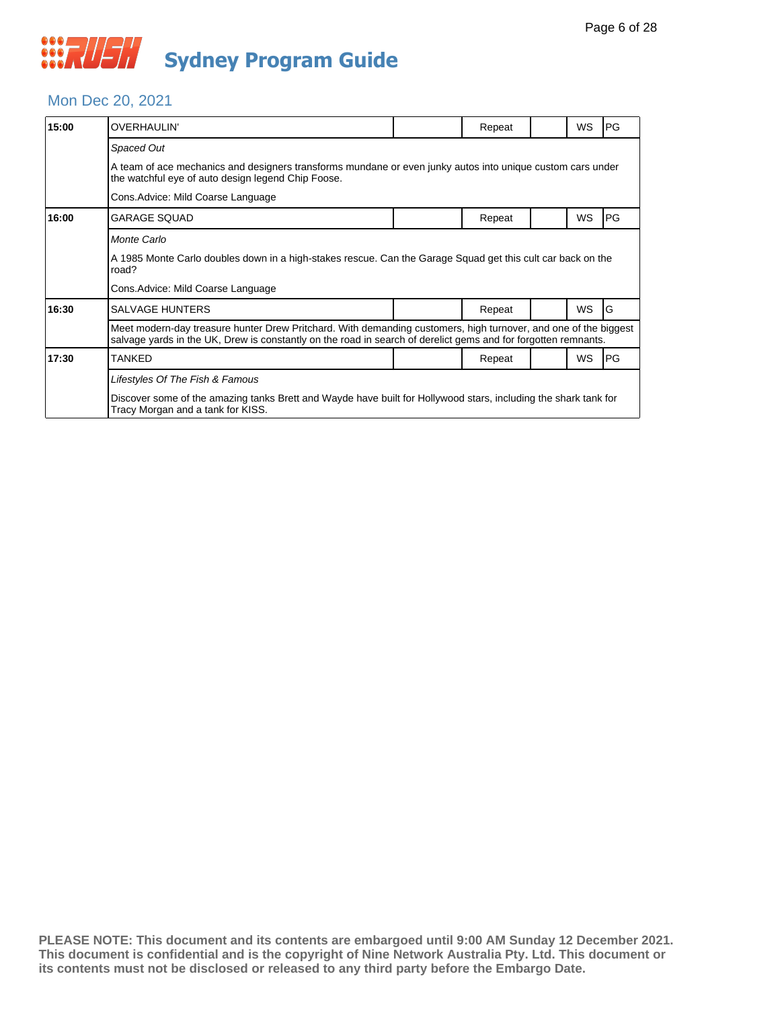#### Mon Dec 20, 2021

| 15:00 | <b>OVERHAULIN'</b>                                                                                                                                                                                                                |                                                                                                            | Repeat |  | <b>WS</b> | PG |  |  |  |  |
|-------|-----------------------------------------------------------------------------------------------------------------------------------------------------------------------------------------------------------------------------------|------------------------------------------------------------------------------------------------------------|--------|--|-----------|----|--|--|--|--|
|       | Spaced Out                                                                                                                                                                                                                        |                                                                                                            |        |  |           |    |  |  |  |  |
|       | the watchful eye of auto design legend Chip Foose.                                                                                                                                                                                | A team of ace mechanics and designers transforms mundane or even junky autos into unique custom cars under |        |  |           |    |  |  |  |  |
|       | Cons. Advice: Mild Coarse Language                                                                                                                                                                                                |                                                                                                            |        |  |           |    |  |  |  |  |
| 16:00 | <b>GARAGE SQUAD</b>                                                                                                                                                                                                               |                                                                                                            | Repeat |  | <b>WS</b> | PG |  |  |  |  |
|       | Monte Carlo                                                                                                                                                                                                                       |                                                                                                            |        |  |           |    |  |  |  |  |
|       | A 1985 Monte Carlo doubles down in a high-stakes rescue. Can the Garage Squad get this cult car back on the<br>road?                                                                                                              |                                                                                                            |        |  |           |    |  |  |  |  |
|       | Cons. Advice: Mild Coarse Language                                                                                                                                                                                                |                                                                                                            |        |  |           |    |  |  |  |  |
| 16:30 | <b>SALVAGE HUNTERS</b>                                                                                                                                                                                                            |                                                                                                            | Repeat |  | <b>WS</b> | G  |  |  |  |  |
|       | Meet modern-day treasure hunter Drew Pritchard. With demanding customers, high turnover, and one of the biggest<br>salvage yards in the UK, Drew is constantly on the road in search of derelict gems and for forgotten remnants. |                                                                                                            |        |  |           |    |  |  |  |  |
| 17:30 | <b>TANKED</b>                                                                                                                                                                                                                     |                                                                                                            | Repeat |  | <b>WS</b> | PG |  |  |  |  |
|       | Lifestyles Of The Fish & Famous                                                                                                                                                                                                   |                                                                                                            |        |  |           |    |  |  |  |  |
|       | Discover some of the amazing tanks Brett and Wayde have built for Hollywood stars, including the shark tank for<br>Tracy Morgan and a tank for KISS.                                                                              |                                                                                                            |        |  |           |    |  |  |  |  |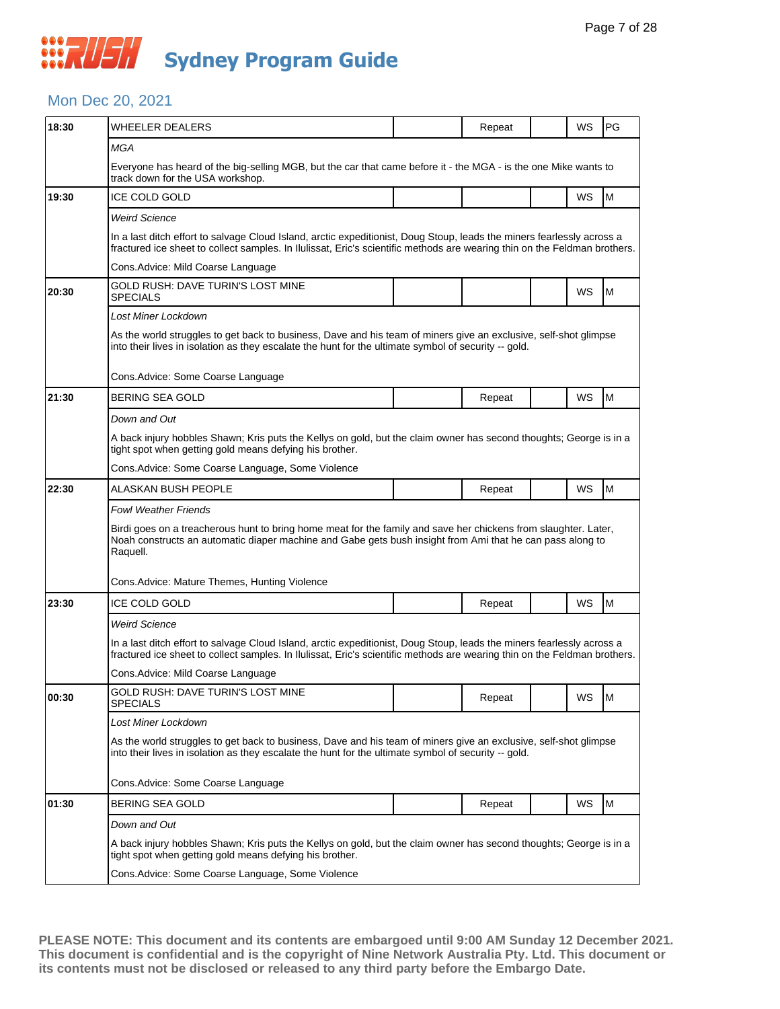#### Mon Dec 20, 2021

| 18:30 | <b>WHEELER DEALERS</b>                                                                                                                                                                                                                              |                                                                                                                 | Repeat |  | WS | PG |  |  |  |
|-------|-----------------------------------------------------------------------------------------------------------------------------------------------------------------------------------------------------------------------------------------------------|-----------------------------------------------------------------------------------------------------------------|--------|--|----|----|--|--|--|
|       | MGA                                                                                                                                                                                                                                                 |                                                                                                                 |        |  |    |    |  |  |  |
|       | track down for the USA workshop.                                                                                                                                                                                                                    | Everyone has heard of the big-selling MGB, but the car that came before it - the MGA - is the one Mike wants to |        |  |    |    |  |  |  |
| 19:30 | <b>ICE COLD GOLD</b>                                                                                                                                                                                                                                |                                                                                                                 |        |  | WS | M  |  |  |  |
|       | <b>Weird Science</b>                                                                                                                                                                                                                                |                                                                                                                 |        |  |    |    |  |  |  |
|       | In a last ditch effort to salvage Cloud Island, arctic expeditionist, Doug Stoup, leads the miners fearlessly across a<br>fractured ice sheet to collect samples. In Ilulissat, Eric's scientific methods are wearing thin on the Feldman brothers. |                                                                                                                 |        |  |    |    |  |  |  |
|       | Cons. Advice: Mild Coarse Language                                                                                                                                                                                                                  |                                                                                                                 |        |  |    |    |  |  |  |
| 20:30 | GOLD RUSH: DAVE TURIN'S LOST MINE<br><b>SPECIALS</b>                                                                                                                                                                                                |                                                                                                                 |        |  | WS | M  |  |  |  |
|       | Lost Miner Lockdown                                                                                                                                                                                                                                 |                                                                                                                 |        |  |    |    |  |  |  |
|       | As the world struggles to get back to business, Dave and his team of miners give an exclusive, self-shot glimpse<br>into their lives in isolation as they escalate the hunt for the ultimate symbol of security -- gold.                            |                                                                                                                 |        |  |    |    |  |  |  |
|       | Cons. Advice: Some Coarse Language                                                                                                                                                                                                                  |                                                                                                                 |        |  |    |    |  |  |  |
| 21:30 | BERING SEA GOLD                                                                                                                                                                                                                                     |                                                                                                                 | Repeat |  | WS | M  |  |  |  |
|       | Down and Out                                                                                                                                                                                                                                        |                                                                                                                 |        |  |    |    |  |  |  |
|       | A back injury hobbles Shawn; Kris puts the Kellys on gold, but the claim owner has second thoughts; George is in a<br>tight spot when getting gold means defying his brother.                                                                       |                                                                                                                 |        |  |    |    |  |  |  |
|       | Cons. Advice: Some Coarse Language, Some Violence                                                                                                                                                                                                   |                                                                                                                 |        |  |    |    |  |  |  |
| 22:30 | ALASKAN BUSH PEOPLE                                                                                                                                                                                                                                 |                                                                                                                 | Repeat |  | WS | M  |  |  |  |
|       | <b>Fowl Weather Friends</b>                                                                                                                                                                                                                         |                                                                                                                 |        |  |    |    |  |  |  |
|       | Birdi goes on a treacherous hunt to bring home meat for the family and save her chickens from slaughter. Later,<br>Noah constructs an automatic diaper machine and Gabe gets bush insight from Ami that he can pass along to<br>Raquell.            |                                                                                                                 |        |  |    |    |  |  |  |
|       | Cons.Advice: Mature Themes, Hunting Violence                                                                                                                                                                                                        |                                                                                                                 |        |  |    |    |  |  |  |
| 23:30 | <b>ICE COLD GOLD</b>                                                                                                                                                                                                                                |                                                                                                                 | Repeat |  | WS | M  |  |  |  |
|       | <b>Weird Science</b>                                                                                                                                                                                                                                |                                                                                                                 |        |  |    |    |  |  |  |
|       | In a last ditch effort to salvage Cloud Island, arctic expeditionist, Doug Stoup, leads the miners fearlessly across a<br>fractured ice sheet to collect samples. In Ilulissat, Eric's scientific methods are wearing thin on the Feldman brothers. |                                                                                                                 |        |  |    |    |  |  |  |
|       | Cons. Advice: Mild Coarse Language                                                                                                                                                                                                                  |                                                                                                                 |        |  |    |    |  |  |  |
| 00:30 | GOLD RUSH: DAVE TURIN'S LOST MINE<br><b>SPECIALS</b>                                                                                                                                                                                                |                                                                                                                 | Repeat |  | WS | M  |  |  |  |
|       | Lost Miner Lockdown                                                                                                                                                                                                                                 |                                                                                                                 |        |  |    |    |  |  |  |
|       | As the world struggles to get back to business, Dave and his team of miners give an exclusive, self-shot glimpse<br>into their lives in isolation as they escalate the hunt for the ultimate symbol of security -- gold.                            |                                                                                                                 |        |  |    |    |  |  |  |
|       | Cons. Advice: Some Coarse Language                                                                                                                                                                                                                  |                                                                                                                 |        |  |    |    |  |  |  |
| 01:30 | BERING SEA GOLD                                                                                                                                                                                                                                     |                                                                                                                 | Repeat |  | WS | M  |  |  |  |
|       | Down and Out                                                                                                                                                                                                                                        |                                                                                                                 |        |  |    |    |  |  |  |
|       | A back injury hobbles Shawn; Kris puts the Kellys on gold, but the claim owner has second thoughts; George is in a<br>tight spot when getting gold means defying his brother.                                                                       |                                                                                                                 |        |  |    |    |  |  |  |
|       | Cons. Advice: Some Coarse Language, Some Violence                                                                                                                                                                                                   |                                                                                                                 |        |  |    |    |  |  |  |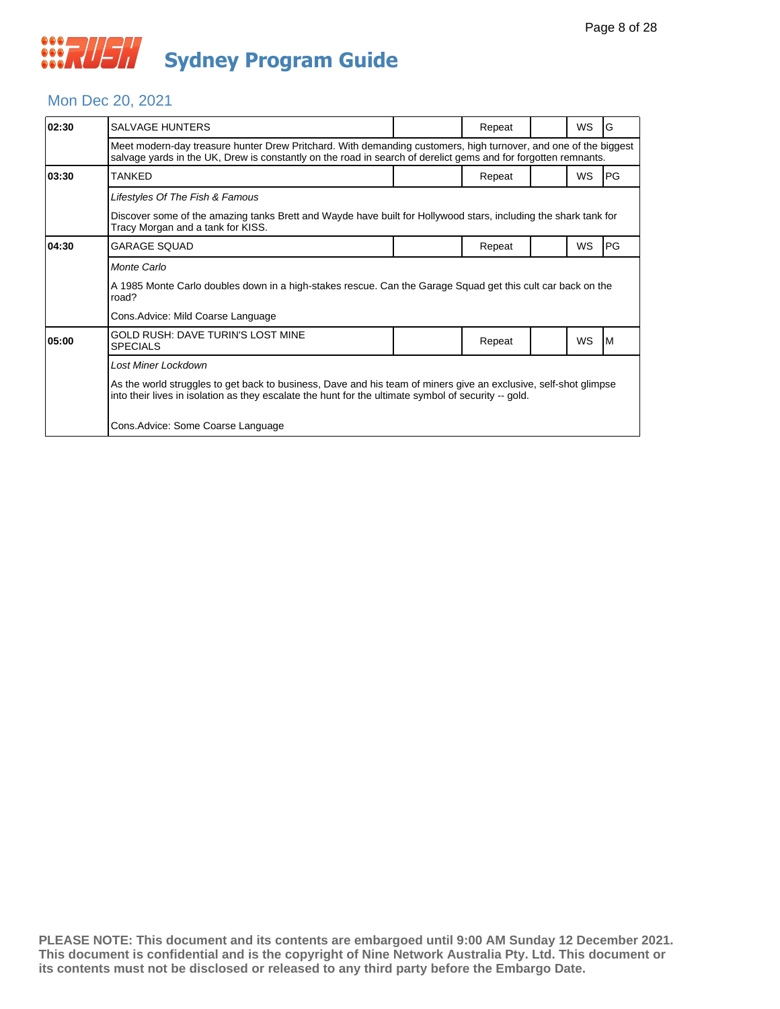#### Mon Dec 20, 2021

| 02:30 | <b>SALVAGE HUNTERS</b>                                                                                                                                                                                                            |  | Repeat |  | <b>WS</b> | G         |  |  |  |
|-------|-----------------------------------------------------------------------------------------------------------------------------------------------------------------------------------------------------------------------------------|--|--------|--|-----------|-----------|--|--|--|
|       | Meet modern-day treasure hunter Drew Pritchard. With demanding customers, high turnover, and one of the biggest<br>salvage yards in the UK, Drew is constantly on the road in search of derelict gems and for forgotten remnants. |  |        |  |           |           |  |  |  |
| 03:30 | TANKED                                                                                                                                                                                                                            |  | Repeat |  | <b>WS</b> | <b>PG</b> |  |  |  |
|       | Lifestyles Of The Fish & Famous                                                                                                                                                                                                   |  |        |  |           |           |  |  |  |
|       | Discover some of the amazing tanks Brett and Wayde have built for Hollywood stars, including the shark tank for<br>Tracy Morgan and a tank for KISS.                                                                              |  |        |  |           |           |  |  |  |
| 04:30 | GARAGE SOUAD                                                                                                                                                                                                                      |  | Repeat |  | <b>WS</b> | <b>PG</b> |  |  |  |
|       | Monte Carlo                                                                                                                                                                                                                       |  |        |  |           |           |  |  |  |
|       | A 1985 Monte Carlo doubles down in a high-stakes rescue. Can the Garage Squad get this cult car back on the<br>road?                                                                                                              |  |        |  |           |           |  |  |  |
|       | Cons. Advice: Mild Coarse Language                                                                                                                                                                                                |  |        |  |           |           |  |  |  |
| 05:00 | GOLD RUSH: DAVE TURIN'S LOST MINE<br><b>SPECIALS</b>                                                                                                                                                                              |  | Repeat |  | <b>WS</b> | IМ        |  |  |  |
|       | Lost Miner Lockdown                                                                                                                                                                                                               |  |        |  |           |           |  |  |  |
|       | As the world struggles to get back to business, Dave and his team of miners give an exclusive, self-shot glimpse<br>into their lives in isolation as they escalate the hunt for the ultimate symbol of security -- gold.          |  |        |  |           |           |  |  |  |
|       | Cons. Advice: Some Coarse Language                                                                                                                                                                                                |  |        |  |           |           |  |  |  |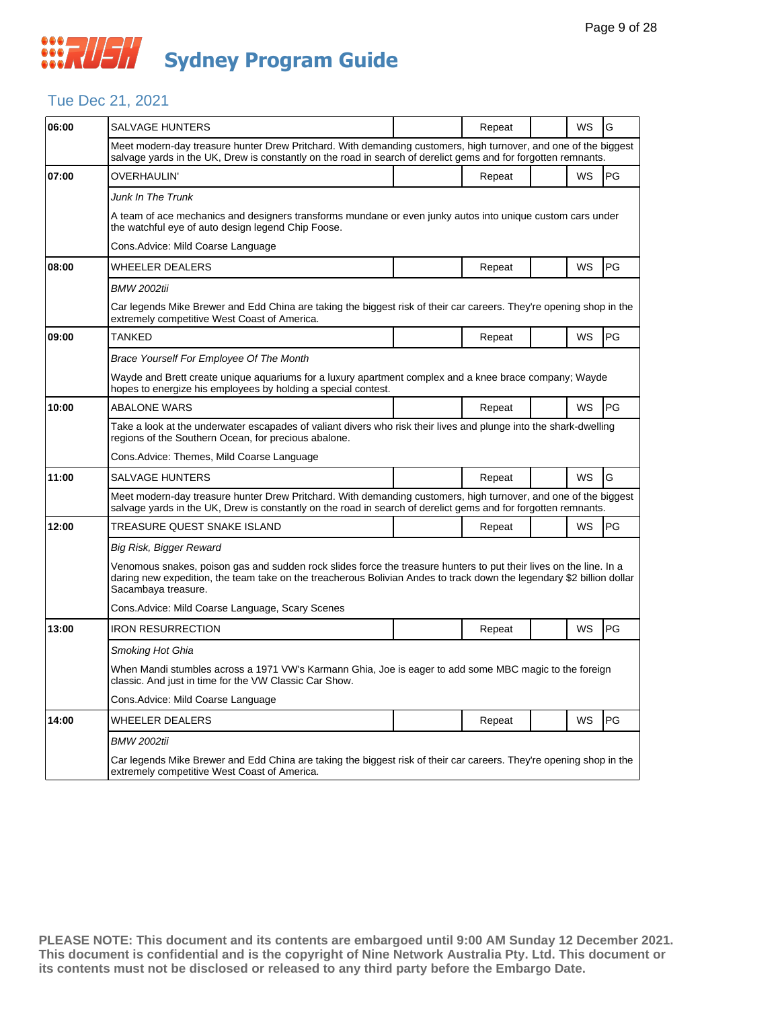### Tue Dec 21, 2021

| 06:00 | SALVAGE HUNTERS                                                                                                                                                                                                                                                    |                                                                                                                     | Repeat |  | WS | G  |  |  |
|-------|--------------------------------------------------------------------------------------------------------------------------------------------------------------------------------------------------------------------------------------------------------------------|---------------------------------------------------------------------------------------------------------------------|--------|--|----|----|--|--|
|       | Meet modern-day treasure hunter Drew Pritchard. With demanding customers, high turnover, and one of the biggest<br>salvage yards in the UK, Drew is constantly on the road in search of derelict gems and for forgotten remnants.                                  |                                                                                                                     |        |  |    |    |  |  |
| 07:00 | OVERHAULIN'                                                                                                                                                                                                                                                        |                                                                                                                     | Repeat |  | WS | PG |  |  |
|       | Junk In The Trunk                                                                                                                                                                                                                                                  |                                                                                                                     |        |  |    |    |  |  |
|       | A team of ace mechanics and designers transforms mundane or even junky autos into unique custom cars under<br>the watchful eye of auto design legend Chip Foose.                                                                                                   |                                                                                                                     |        |  |    |    |  |  |
|       | Cons.Advice: Mild Coarse Language                                                                                                                                                                                                                                  |                                                                                                                     |        |  |    |    |  |  |
| 08:00 | WHEELER DEALERS                                                                                                                                                                                                                                                    |                                                                                                                     | Repeat |  | WS | PG |  |  |
|       | <b>BMW 2002tii</b>                                                                                                                                                                                                                                                 |                                                                                                                     |        |  |    |    |  |  |
|       | Car legends Mike Brewer and Edd China are taking the biggest risk of their car careers. They're opening shop in the<br>extremely competitive West Coast of America.                                                                                                |                                                                                                                     |        |  |    |    |  |  |
| 09:00 | TANKED                                                                                                                                                                                                                                                             |                                                                                                                     | Repeat |  | WS | PG |  |  |
|       | Brace Yourself For Employee Of The Month                                                                                                                                                                                                                           |                                                                                                                     |        |  |    |    |  |  |
|       | Wayde and Brett create unique aquariums for a luxury apartment complex and a knee brace company; Wayde<br>hopes to energize his employees by holding a special contest.                                                                                            |                                                                                                                     |        |  |    |    |  |  |
| 10:00 | <b>ABALONE WARS</b>                                                                                                                                                                                                                                                |                                                                                                                     | Repeat |  | WS | PG |  |  |
|       | Take a look at the underwater escapades of valiant divers who risk their lives and plunge into the shark-dwelling<br>regions of the Southern Ocean, for precious abalone.                                                                                          |                                                                                                                     |        |  |    |    |  |  |
|       | Cons.Advice: Themes, Mild Coarse Language                                                                                                                                                                                                                          |                                                                                                                     |        |  |    |    |  |  |
| 11:00 | <b>SALVAGE HUNTERS</b>                                                                                                                                                                                                                                             |                                                                                                                     | Repeat |  | WS | G  |  |  |
|       | Meet modern-day treasure hunter Drew Pritchard. With demanding customers, high turnover, and one of the biggest<br>salvage yards in the UK, Drew is constantly on the road in search of derelict gems and for forgotten remnants.                                  |                                                                                                                     |        |  |    |    |  |  |
| 12:00 | TREASURE QUEST SNAKE ISLAND                                                                                                                                                                                                                                        |                                                                                                                     | Repeat |  | WS | PG |  |  |
|       | Big Risk, Bigger Reward                                                                                                                                                                                                                                            |                                                                                                                     |        |  |    |    |  |  |
|       | Venomous snakes, poison gas and sudden rock slides force the treasure hunters to put their lives on the line. In a<br>daring new expedition, the team take on the treacherous Bolivian Andes to track down the legendary \$2 billion dollar<br>Sacambaya treasure. |                                                                                                                     |        |  |    |    |  |  |
|       | Cons.Advice: Mild Coarse Language, Scary Scenes                                                                                                                                                                                                                    |                                                                                                                     |        |  |    |    |  |  |
| 13:00 | <b>IRON RESURRECTION</b>                                                                                                                                                                                                                                           |                                                                                                                     | Repeat |  | WS | PG |  |  |
|       | Smoking Hot Ghia                                                                                                                                                                                                                                                   |                                                                                                                     |        |  |    |    |  |  |
|       | When Mandi stumbles across a 1971 VW's Karmann Ghia, Joe is eager to add some MBC magic to the foreign<br>classic. And just in time for the VW Classic Car Show.                                                                                                   |                                                                                                                     |        |  |    |    |  |  |
|       | Cons.Advice: Mild Coarse Language                                                                                                                                                                                                                                  |                                                                                                                     |        |  |    |    |  |  |
| 14:00 | <b>WHEELER DEALERS</b>                                                                                                                                                                                                                                             |                                                                                                                     | Repeat |  | WS | PG |  |  |
|       | <b>BMW 2002tii</b>                                                                                                                                                                                                                                                 |                                                                                                                     |        |  |    |    |  |  |
|       | extremely competitive West Coast of America.                                                                                                                                                                                                                       | Car legends Mike Brewer and Edd China are taking the biggest risk of their car careers. They're opening shop in the |        |  |    |    |  |  |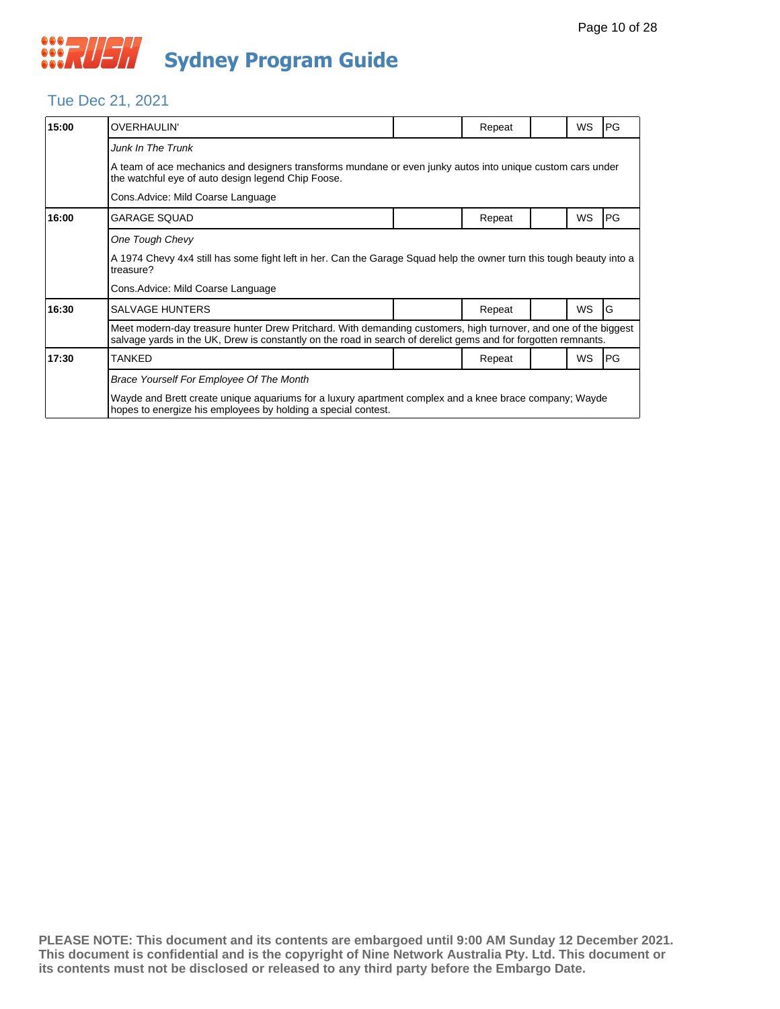### Tue Dec 21, 2021

| 15:00 | <b>OVERHAULIN'</b>                                                                                                                                                                                                                |  | Repeat |  | <b>WS</b> | PG |  |  |  |
|-------|-----------------------------------------------------------------------------------------------------------------------------------------------------------------------------------------------------------------------------------|--|--------|--|-----------|----|--|--|--|
|       | <b>Junk In The Trunk</b>                                                                                                                                                                                                          |  |        |  |           |    |  |  |  |
|       | A team of ace mechanics and designers transforms mundane or even junky autos into unique custom cars under<br>the watchful eye of auto design legend Chip Foose.                                                                  |  |        |  |           |    |  |  |  |
|       | Cons. Advice: Mild Coarse Language                                                                                                                                                                                                |  |        |  |           |    |  |  |  |
| 16:00 | <b>GARAGE SQUAD</b>                                                                                                                                                                                                               |  | Repeat |  | WS        | PG |  |  |  |
|       | One Tough Chevy                                                                                                                                                                                                                   |  |        |  |           |    |  |  |  |
|       | A 1974 Chevy 4x4 still has some fight left in her. Can the Garage Squad help the owner turn this tough beauty into a<br>treasure?                                                                                                 |  |        |  |           |    |  |  |  |
|       | Cons. Advice: Mild Coarse Language                                                                                                                                                                                                |  |        |  |           |    |  |  |  |
| 16:30 | <b>SALVAGE HUNTERS</b>                                                                                                                                                                                                            |  | Repeat |  | WS        | G  |  |  |  |
|       | Meet modern-day treasure hunter Drew Pritchard. With demanding customers, high turnover, and one of the biggest<br>salvage yards in the UK, Drew is constantly on the road in search of derelict gems and for forgotten remnants. |  |        |  |           |    |  |  |  |
| 17:30 | <b>TANKED</b>                                                                                                                                                                                                                     |  | Repeat |  | <b>WS</b> | PG |  |  |  |
|       | Brace Yourself For Employee Of The Month                                                                                                                                                                                          |  |        |  |           |    |  |  |  |
|       | Wayde and Brett create unique aquariums for a luxury apartment complex and a knee brace company; Wayde<br>hopes to energize his employees by holding a special contest.                                                           |  |        |  |           |    |  |  |  |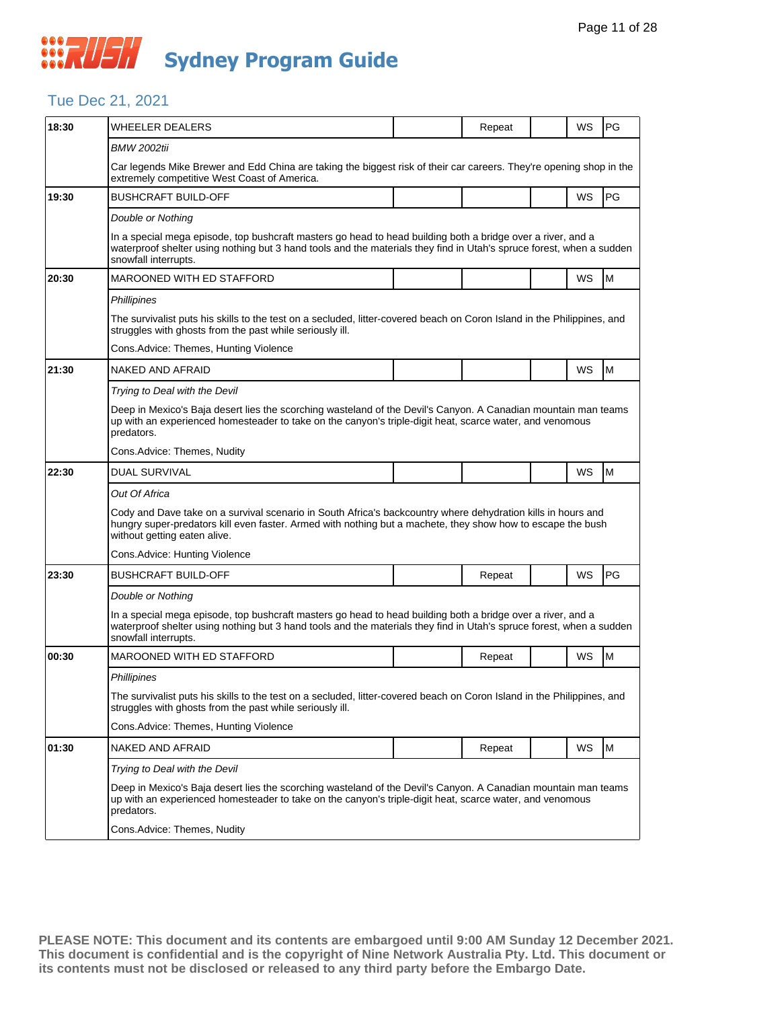#### Tue Dec 21, 2021

| 18:30 | <b>WHEELER DEALERS</b>                                                                                                                                                                                                                                      |  | Repeat |  | WS | PG |  |  |  |
|-------|-------------------------------------------------------------------------------------------------------------------------------------------------------------------------------------------------------------------------------------------------------------|--|--------|--|----|----|--|--|--|
|       | <b>BMW 2002tii</b>                                                                                                                                                                                                                                          |  |        |  |    |    |  |  |  |
|       | Car legends Mike Brewer and Edd China are taking the biggest risk of their car careers. They're opening shop in the<br>extremely competitive West Coast of America.                                                                                         |  |        |  |    |    |  |  |  |
| 19:30 | <b>BUSHCRAFT BUILD-OFF</b>                                                                                                                                                                                                                                  |  |        |  | WS | PG |  |  |  |
|       | Double or Nothing                                                                                                                                                                                                                                           |  |        |  |    |    |  |  |  |
|       | In a special mega episode, top bushcraft masters go head to head building both a bridge over a river, and a<br>waterproof shelter using nothing but 3 hand tools and the materials they find in Utah's spruce forest, when a sudden<br>snowfall interrupts. |  |        |  |    |    |  |  |  |
| 20:30 | <b>MAROONED WITH ED STAFFORD</b>                                                                                                                                                                                                                            |  |        |  | WS | M  |  |  |  |
|       | Phillipines                                                                                                                                                                                                                                                 |  |        |  |    |    |  |  |  |
|       | The survivalist puts his skills to the test on a secluded, litter-covered beach on Coron Island in the Philippines, and<br>struggles with ghosts from the past while seriously ill.                                                                         |  |        |  |    |    |  |  |  |
|       | Cons. Advice: Themes, Hunting Violence                                                                                                                                                                                                                      |  |        |  |    |    |  |  |  |
| 21:30 | NAKED AND AFRAID                                                                                                                                                                                                                                            |  |        |  | WS | M  |  |  |  |
|       | Trying to Deal with the Devil                                                                                                                                                                                                                               |  |        |  |    |    |  |  |  |
|       | Deep in Mexico's Baja desert lies the scorching wasteland of the Devil's Canyon. A Canadian mountain man teams<br>up with an experienced homesteader to take on the canyon's triple-digit heat, scarce water, and venomous<br>predators.                    |  |        |  |    |    |  |  |  |
|       | Cons. Advice: Themes, Nudity                                                                                                                                                                                                                                |  |        |  |    |    |  |  |  |
| 22:30 | <b>DUAL SURVIVAL</b>                                                                                                                                                                                                                                        |  |        |  | WS | M  |  |  |  |
|       | Out Of Africa                                                                                                                                                                                                                                               |  |        |  |    |    |  |  |  |
|       | Cody and Dave take on a survival scenario in South Africa's backcountry where dehydration kills in hours and<br>hungry super-predators kill even faster. Armed with nothing but a machete, they show how to escape the bush<br>without getting eaten alive. |  |        |  |    |    |  |  |  |
|       | Cons. Advice: Hunting Violence                                                                                                                                                                                                                              |  |        |  |    |    |  |  |  |
| 23:30 | <b>BUSHCRAFT BUILD-OFF</b>                                                                                                                                                                                                                                  |  | Repeat |  | WS | PG |  |  |  |
|       | Double or Nothing                                                                                                                                                                                                                                           |  |        |  |    |    |  |  |  |
|       | In a special mega episode, top bushcraft masters go head to head building both a bridge over a river, and a<br>waterproof shelter using nothing but 3 hand tools and the materials they find in Utah's spruce forest, when a sudden<br>snowfall interrupts. |  |        |  |    |    |  |  |  |
| 00:30 | <b>MAROONED WITH ED STAFFORD</b>                                                                                                                                                                                                                            |  | Repeat |  | WS | M  |  |  |  |
|       | Phillipines                                                                                                                                                                                                                                                 |  |        |  |    |    |  |  |  |
|       | The survivalist puts his skills to the test on a secluded, litter-covered beach on Coron Island in the Philippines, and<br>struggles with ghosts from the past while seriously ill.                                                                         |  |        |  |    |    |  |  |  |
|       | Cons. Advice: Themes, Hunting Violence                                                                                                                                                                                                                      |  |        |  |    |    |  |  |  |
| 01:30 | NAKED AND AFRAID                                                                                                                                                                                                                                            |  | Repeat |  | WS | M  |  |  |  |
|       | Trying to Deal with the Devil                                                                                                                                                                                                                               |  |        |  |    |    |  |  |  |
|       | Deep in Mexico's Baja desert lies the scorching wasteland of the Devil's Canyon. A Canadian mountain man teams<br>up with an experienced homesteader to take on the canyon's triple-digit heat, scarce water, and venomous<br>predators.                    |  |        |  |    |    |  |  |  |
|       | Cons.Advice: Themes, Nudity                                                                                                                                                                                                                                 |  |        |  |    |    |  |  |  |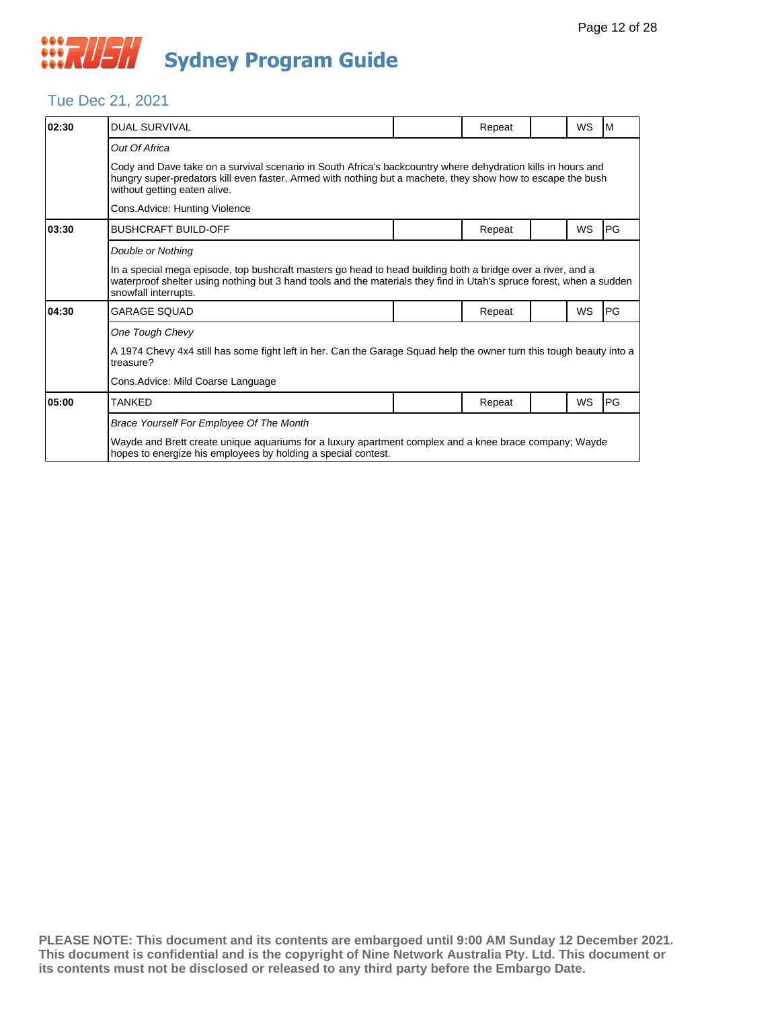#### Tue Dec 21, 2021

| 02:30 | <b>DUAL SURVIVAL</b>                                                                                                                                                                                                                                        |  | Repeat |  | WS | M         |  |  |  |
|-------|-------------------------------------------------------------------------------------------------------------------------------------------------------------------------------------------------------------------------------------------------------------|--|--------|--|----|-----------|--|--|--|
|       | Out Of Africa                                                                                                                                                                                                                                               |  |        |  |    |           |  |  |  |
|       | Cody and Dave take on a survival scenario in South Africa's backcountry where dehydration kills in hours and<br>hungry super-predators kill even faster. Armed with nothing but a machete, they show how to escape the bush<br>without getting eaten alive. |  |        |  |    |           |  |  |  |
|       | Cons.Advice: Hunting Violence                                                                                                                                                                                                                               |  |        |  |    |           |  |  |  |
| 03:30 | <b>BUSHCRAFT BUILD-OFF</b>                                                                                                                                                                                                                                  |  | Repeat |  | WS | PG        |  |  |  |
|       | Double or Nothing                                                                                                                                                                                                                                           |  |        |  |    |           |  |  |  |
|       | In a special mega episode, top bushcraft masters go head to head building both a bridge over a river, and a<br>waterproof shelter using nothing but 3 hand tools and the materials they find in Utah's spruce forest, when a sudden<br>snowfall interrupts. |  |        |  |    |           |  |  |  |
| 04:30 | GARAGE SQUAD                                                                                                                                                                                                                                                |  | Repeat |  | WS | PG        |  |  |  |
|       | One Tough Chevy                                                                                                                                                                                                                                             |  |        |  |    |           |  |  |  |
|       | A 1974 Chevy 4x4 still has some fight left in her. Can the Garage Squad help the owner turn this tough beauty into a<br>treasure?                                                                                                                           |  |        |  |    |           |  |  |  |
|       | Cons.Advice: Mild Coarse Language                                                                                                                                                                                                                           |  |        |  |    |           |  |  |  |
| 05:00 | TANKED                                                                                                                                                                                                                                                      |  | Repeat |  | WS | <b>PG</b> |  |  |  |
|       | Brace Yourself For Employee Of The Month                                                                                                                                                                                                                    |  |        |  |    |           |  |  |  |
|       | Wayde and Brett create unique aquariums for a luxury apartment complex and a knee brace company; Wayde<br>hopes to energize his employees by holding a special contest.                                                                                     |  |        |  |    |           |  |  |  |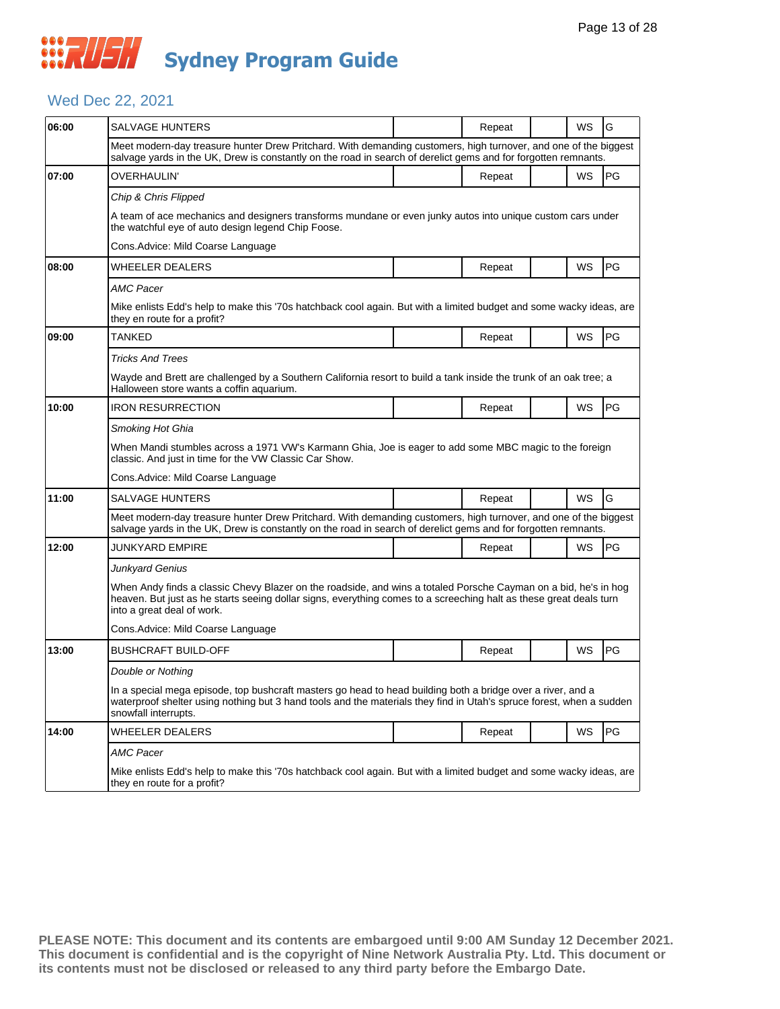### Wed Dec 22, 2021

| 06:00 | SALVAGE HUNTERS                                                                                                                                                                                                                                                     |  | Repeat |  | WS | G         |  |  |  |
|-------|---------------------------------------------------------------------------------------------------------------------------------------------------------------------------------------------------------------------------------------------------------------------|--|--------|--|----|-----------|--|--|--|
|       | Meet modern-day treasure hunter Drew Pritchard. With demanding customers, high turnover, and one of the biggest<br>salvage yards in the UK, Drew is constantly on the road in search of derelict gems and for forgotten remnants.                                   |  |        |  |    |           |  |  |  |
| 07:00 | OVERHAULIN'                                                                                                                                                                                                                                                         |  | Repeat |  | WS | PG        |  |  |  |
|       | Chip & Chris Flipped                                                                                                                                                                                                                                                |  |        |  |    |           |  |  |  |
|       | A team of ace mechanics and designers transforms mundane or even junky autos into unique custom cars under<br>the watchful eye of auto design legend Chip Foose.                                                                                                    |  |        |  |    |           |  |  |  |
|       | Cons.Advice: Mild Coarse Language                                                                                                                                                                                                                                   |  |        |  |    |           |  |  |  |
| 08:00 | WHEELER DEALERS                                                                                                                                                                                                                                                     |  | Repeat |  | WS | <b>PG</b> |  |  |  |
|       | AMC Pacer                                                                                                                                                                                                                                                           |  |        |  |    |           |  |  |  |
|       | Mike enlists Edd's help to make this '70s hatchback cool again. But with a limited budget and some wacky ideas, are<br>they en route for a profit?                                                                                                                  |  |        |  |    |           |  |  |  |
| 09:00 | TANKED                                                                                                                                                                                                                                                              |  | Repeat |  | WS | PG        |  |  |  |
|       | <b>Tricks And Trees</b>                                                                                                                                                                                                                                             |  |        |  |    |           |  |  |  |
|       | Wayde and Brett are challenged by a Southern California resort to build a tank inside the trunk of an oak tree; a<br>Halloween store wants a coffin aquarium.                                                                                                       |  |        |  |    |           |  |  |  |
| 10:00 | IRON RESURRECTION                                                                                                                                                                                                                                                   |  | Repeat |  | WS | PG        |  |  |  |
|       | Smoking Hot Ghia                                                                                                                                                                                                                                                    |  |        |  |    |           |  |  |  |
|       | When Mandi stumbles across a 1971 VW's Karmann Ghia, Joe is eager to add some MBC magic to the foreign<br>classic. And just in time for the VW Classic Car Show.                                                                                                    |  |        |  |    |           |  |  |  |
|       | Cons.Advice: Mild Coarse Language                                                                                                                                                                                                                                   |  |        |  |    |           |  |  |  |
| 11:00 | SALVAGE HUNTERS                                                                                                                                                                                                                                                     |  | Repeat |  | WS | G         |  |  |  |
|       | Meet modern-day treasure hunter Drew Pritchard. With demanding customers, high turnover, and one of the biggest<br>salvage yards in the UK, Drew is constantly on the road in search of derelict gems and for forgotten remnants.                                   |  |        |  |    |           |  |  |  |
| 12:00 | JUNKYARD EMPIRE                                                                                                                                                                                                                                                     |  | Repeat |  | WS | PG        |  |  |  |
|       | Junkyard Genius                                                                                                                                                                                                                                                     |  |        |  |    |           |  |  |  |
|       | When Andy finds a classic Chevy Blazer on the roadside, and wins a totaled Porsche Cayman on a bid, he's in hog<br>heaven. But just as he starts seeing dollar signs, everything comes to a screeching halt as these great deals turn<br>into a great deal of work. |  |        |  |    |           |  |  |  |
|       | Cons.Advice: Mild Coarse Language                                                                                                                                                                                                                                   |  |        |  |    |           |  |  |  |
| 13:00 | <b>BUSHCRAFT BUILD-OFF</b>                                                                                                                                                                                                                                          |  | Repeat |  | WS | PG        |  |  |  |
|       | Double or Nothing                                                                                                                                                                                                                                                   |  |        |  |    |           |  |  |  |
|       | In a special mega episode, top bushcraft masters go head to head building both a bridge over a river, and a<br>waterproof shelter using nothing but 3 hand tools and the materials they find in Utah's spruce forest, when a sudden<br>snowfall interrupts.         |  |        |  |    |           |  |  |  |
| 14:00 | WHEELER DEALERS                                                                                                                                                                                                                                                     |  | Repeat |  | WS | PG        |  |  |  |
|       | AMC Pacer<br>Mike enlists Edd's help to make this '70s hatchback cool again. But with a limited budget and some wacky ideas, are<br>they en route for a profit?                                                                                                     |  |        |  |    |           |  |  |  |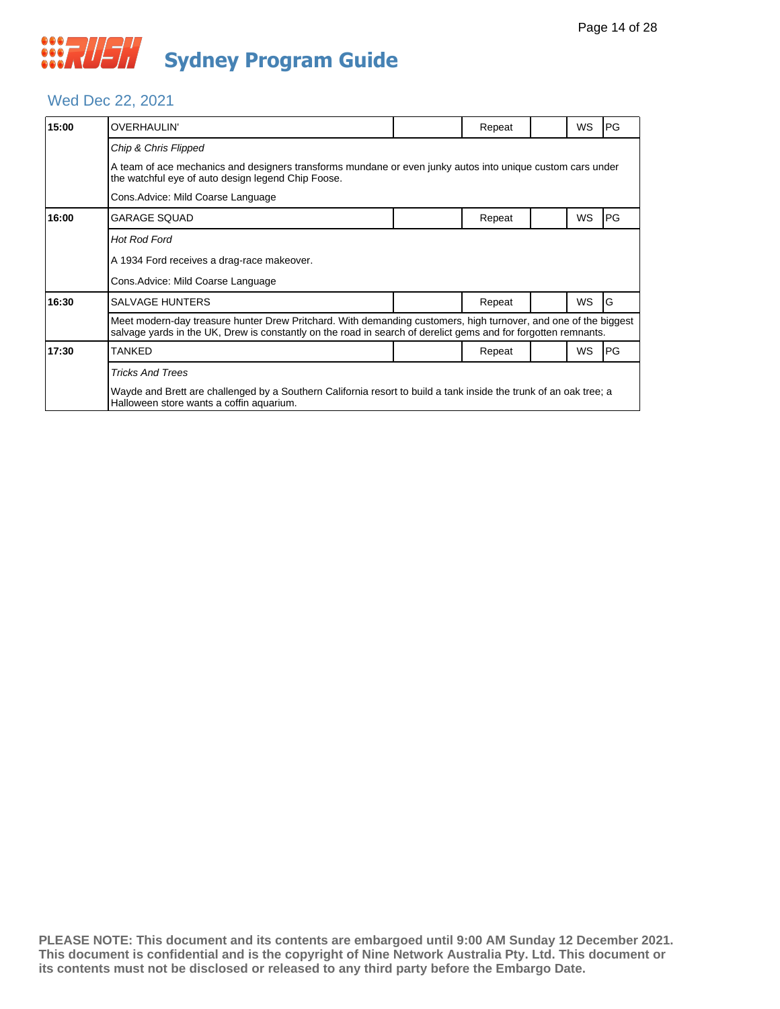#### Wed Dec 22, 2021

| 15:00 | <b>OVERHAULIN'</b>                                                                                                                                                                                                                |  | Repeat |  | WS        | <b>PG</b>  |  |  |  |
|-------|-----------------------------------------------------------------------------------------------------------------------------------------------------------------------------------------------------------------------------------|--|--------|--|-----------|------------|--|--|--|
|       | Chip & Chris Flipped                                                                                                                                                                                                              |  |        |  |           |            |  |  |  |
|       | A team of ace mechanics and designers transforms mundane or even junky autos into unique custom cars under<br>the watchful eye of auto design legend Chip Foose.                                                                  |  |        |  |           |            |  |  |  |
|       | Cons. Advice: Mild Coarse Language                                                                                                                                                                                                |  |        |  |           |            |  |  |  |
| 16:00 | <b>GARAGE SQUAD</b>                                                                                                                                                                                                               |  | Repeat |  | WS        | PG         |  |  |  |
|       | <b>Hot Rod Ford</b>                                                                                                                                                                                                               |  |        |  |           |            |  |  |  |
|       | A 1934 Ford receives a drag-race makeover.                                                                                                                                                                                        |  |        |  |           |            |  |  |  |
|       | Cons. Advice: Mild Coarse Language                                                                                                                                                                                                |  |        |  |           |            |  |  |  |
| 16:30 | <b>SALVAGE HUNTERS</b>                                                                                                                                                                                                            |  | Repeat |  | <b>WS</b> | G          |  |  |  |
|       | Meet modern-day treasure hunter Drew Pritchard. With demanding customers, high turnover, and one of the biggest<br>salvage yards in the UK, Drew is constantly on the road in search of derelict gems and for forgotten remnants. |  |        |  |           |            |  |  |  |
| 17:30 | <b>TANKED</b>                                                                                                                                                                                                                     |  | Repeat |  | WS        | <b>IPG</b> |  |  |  |
|       | <b>Tricks And Trees</b>                                                                                                                                                                                                           |  |        |  |           |            |  |  |  |
|       | Wayde and Brett are challenged by a Southern California resort to build a tank inside the trunk of an oak tree; a<br>Halloween store wants a coffin aquarium.                                                                     |  |        |  |           |            |  |  |  |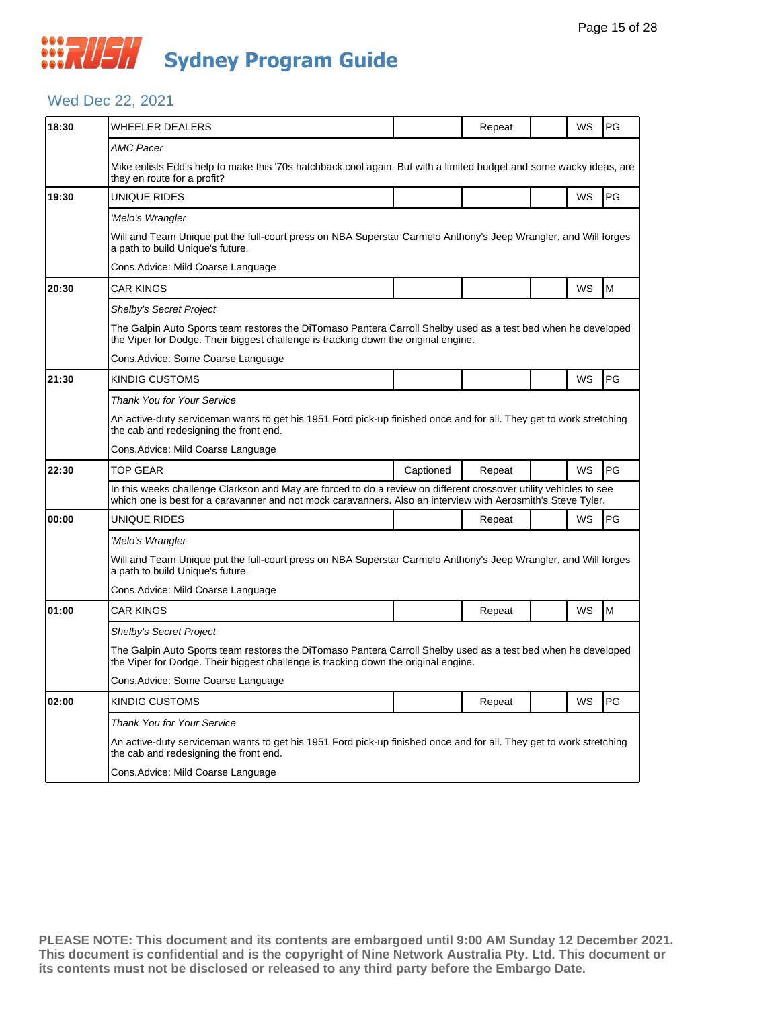#### Wed Dec 22, 2021

| 18:30 | <b>WHEELER DEALERS</b>                                                                                                                                                                                                            |           | Repeat |  | WS        | PG |  |  |  |
|-------|-----------------------------------------------------------------------------------------------------------------------------------------------------------------------------------------------------------------------------------|-----------|--------|--|-----------|----|--|--|--|
|       | AMC Pacer                                                                                                                                                                                                                         |           |        |  |           |    |  |  |  |
|       | Mike enlists Edd's help to make this '70s hatchback cool again. But with a limited budget and some wacky ideas, are<br>they en route for a profit?                                                                                |           |        |  |           |    |  |  |  |
| 19:30 | UNIQUE RIDES                                                                                                                                                                                                                      |           |        |  | <b>WS</b> | PG |  |  |  |
|       | 'Melo's Wrangler                                                                                                                                                                                                                  |           |        |  |           |    |  |  |  |
|       | Will and Team Unique put the full-court press on NBA Superstar Carmelo Anthony's Jeep Wrangler, and Will forges<br>a path to build Unique's future.                                                                               |           |        |  |           |    |  |  |  |
|       | Cons.Advice: Mild Coarse Language                                                                                                                                                                                                 |           |        |  |           |    |  |  |  |
| 20:30 | <b>CAR KINGS</b>                                                                                                                                                                                                                  |           |        |  | WS        | M  |  |  |  |
|       | Shelby's Secret Project                                                                                                                                                                                                           |           |        |  |           |    |  |  |  |
|       | The Galpin Auto Sports team restores the DiTomaso Pantera Carroll Shelby used as a test bed when he developed<br>the Viper for Dodge. Their biggest challenge is tracking down the original engine.                               |           |        |  |           |    |  |  |  |
|       | Cons. Advice: Some Coarse Language                                                                                                                                                                                                |           |        |  |           |    |  |  |  |
| 21:30 | <b>KINDIG CUSTOMS</b>                                                                                                                                                                                                             |           |        |  | WS        | PG |  |  |  |
|       | <b>Thank You for Your Service</b>                                                                                                                                                                                                 |           |        |  |           |    |  |  |  |
|       | An active-duty serviceman wants to get his 1951 Ford pick-up finished once and for all. They get to work stretching<br>the cab and redesigning the front end.                                                                     |           |        |  |           |    |  |  |  |
|       | Cons. Advice: Mild Coarse Language                                                                                                                                                                                                |           |        |  |           |    |  |  |  |
| 22:30 | <b>TOP GEAR</b>                                                                                                                                                                                                                   | Captioned | Repeat |  | WS        | PG |  |  |  |
|       | In this weeks challenge Clarkson and May are forced to do a review on different crossover utility vehicles to see<br>which one is best for a caravanner and not mock caravanners. Also an interview with Aerosmith's Steve Tyler. |           |        |  |           |    |  |  |  |
| 00:00 | UNIQUE RIDES                                                                                                                                                                                                                      |           | Repeat |  | <b>WS</b> | PG |  |  |  |
|       | 'Melo's Wrangler                                                                                                                                                                                                                  |           |        |  |           |    |  |  |  |
|       | Will and Team Unique put the full-court press on NBA Superstar Carmelo Anthony's Jeep Wrangler, and Will forges<br>a path to build Unique's future.                                                                               |           |        |  |           |    |  |  |  |
|       | Cons. Advice: Mild Coarse Language                                                                                                                                                                                                |           |        |  |           |    |  |  |  |
| 01:00 | <b>CAR KINGS</b>                                                                                                                                                                                                                  |           | Repeat |  | WS        | M  |  |  |  |
|       | <b>Shelby's Secret Project</b>                                                                                                                                                                                                    |           |        |  |           |    |  |  |  |
|       | The Galpin Auto Sports team restores the DiTomaso Pantera Carroll Shelby used as a test bed when he developed<br>the Viper for Dodge. Their biggest challenge is tracking down the original engine.                               |           |        |  |           |    |  |  |  |
|       | Cons. Advice: Some Coarse Language                                                                                                                                                                                                |           |        |  |           |    |  |  |  |
| 02:00 | <b>KINDIG CUSTOMS</b>                                                                                                                                                                                                             |           | Repeat |  | WS        | PG |  |  |  |
|       | <b>Thank You for Your Service</b>                                                                                                                                                                                                 |           |        |  |           |    |  |  |  |
|       | An active-duty serviceman wants to get his 1951 Ford pick-up finished once and for all. They get to work stretching<br>the cab and redesigning the front end.                                                                     |           |        |  |           |    |  |  |  |
|       | Cons. Advice: Mild Coarse Language                                                                                                                                                                                                |           |        |  |           |    |  |  |  |
|       |                                                                                                                                                                                                                                   |           |        |  |           |    |  |  |  |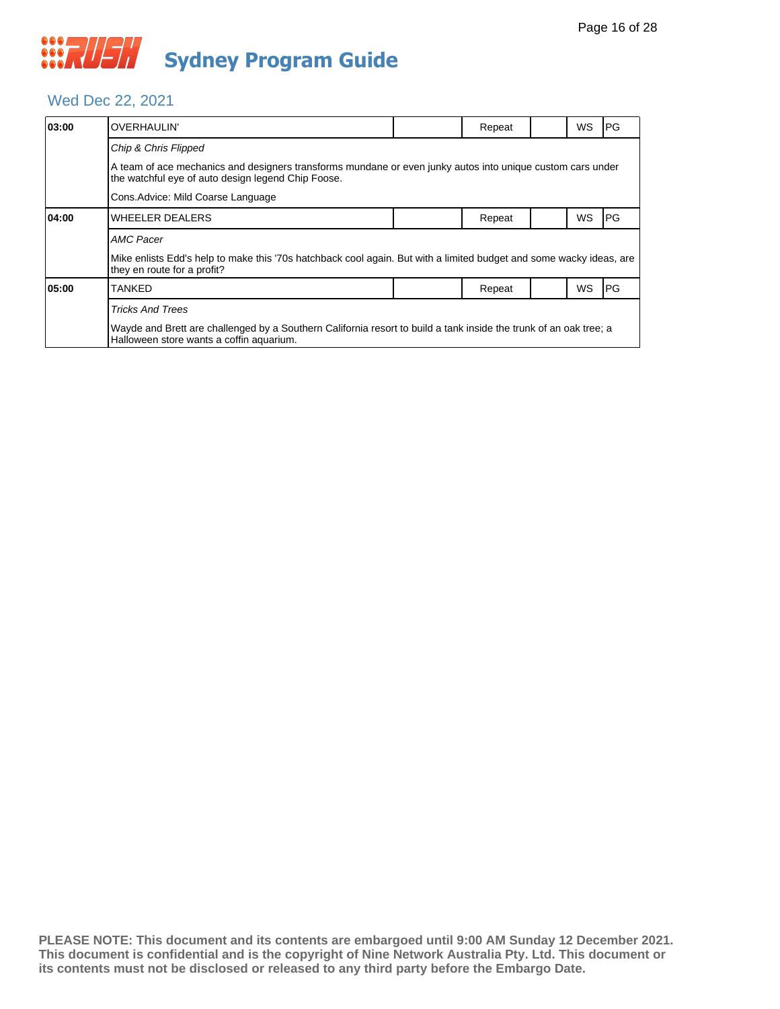### Wed Dec 22, 2021

| 03:00 | OVERHAULIN'                                                                                                                                                      |                                                                                                                     | Repeat |  | WS | PG |  |  |  |
|-------|------------------------------------------------------------------------------------------------------------------------------------------------------------------|---------------------------------------------------------------------------------------------------------------------|--------|--|----|----|--|--|--|
|       | Chip & Chris Flipped                                                                                                                                             |                                                                                                                     |        |  |    |    |  |  |  |
|       | A team of ace mechanics and designers transforms mundane or even junky autos into unique custom cars under<br>the watchful eye of auto design legend Chip Foose. |                                                                                                                     |        |  |    |    |  |  |  |
|       | Cons. Advice: Mild Coarse Language                                                                                                                               |                                                                                                                     |        |  |    |    |  |  |  |
| 04:00 | <b>WHEELER DEALERS</b>                                                                                                                                           |                                                                                                                     | Repeat |  | WS | PG |  |  |  |
|       | <b>AMC Pacer</b>                                                                                                                                                 |                                                                                                                     |        |  |    |    |  |  |  |
|       | they en route for a profit?                                                                                                                                      | Mike enlists Edd's help to make this '70s hatchback cool again. But with a limited budget and some wacky ideas, are |        |  |    |    |  |  |  |
| 05:00 | TANKED                                                                                                                                                           |                                                                                                                     | Repeat |  | WS | PG |  |  |  |
|       | <b>Tricks And Trees</b>                                                                                                                                          |                                                                                                                     |        |  |    |    |  |  |  |
|       | Wayde and Brett are challenged by a Southern California resort to build a tank inside the trunk of an oak tree; a<br>Halloween store wants a coffin aquarium.    |                                                                                                                     |        |  |    |    |  |  |  |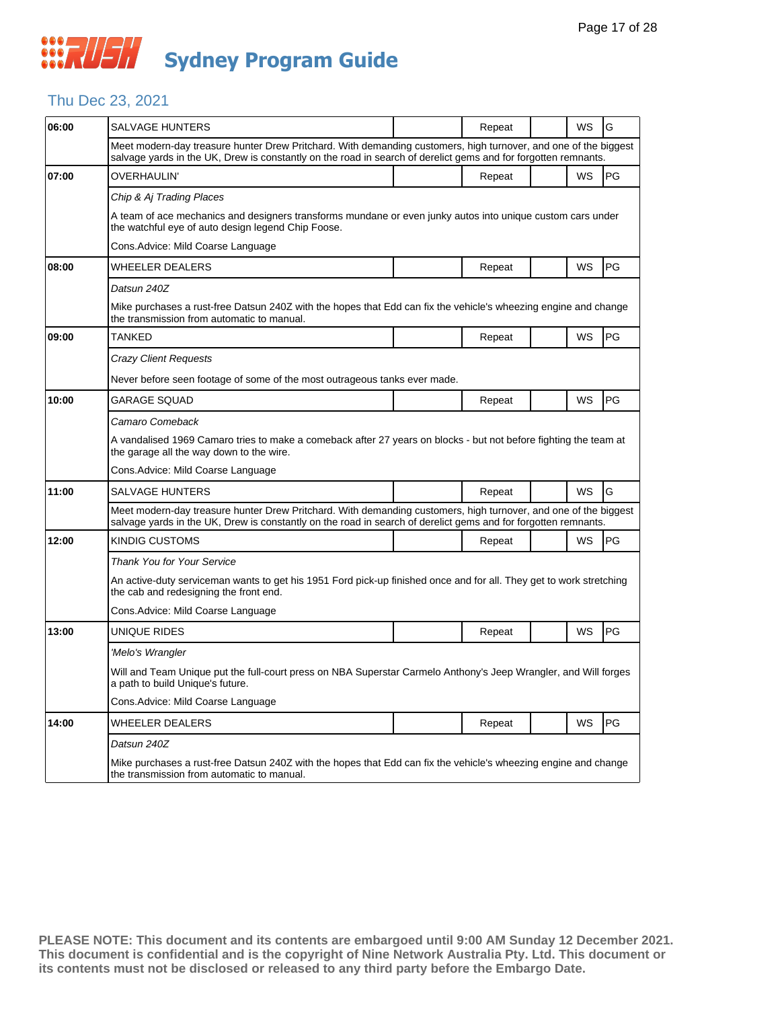### Thu Dec 23, 2021

| 06:00 | SALVAGE HUNTERS                                                                                                                                                                                                                   |  | Repeat |  | WS        | G  |  |  |  |
|-------|-----------------------------------------------------------------------------------------------------------------------------------------------------------------------------------------------------------------------------------|--|--------|--|-----------|----|--|--|--|
|       | Meet modern-day treasure hunter Drew Pritchard. With demanding customers, high turnover, and one of the biggest<br>salvage yards in the UK, Drew is constantly on the road in search of derelict gems and for forgotten remnants. |  |        |  |           |    |  |  |  |
| 07:00 | OVERHAULIN'                                                                                                                                                                                                                       |  | Repeat |  | WS        | PG |  |  |  |
|       | Chip & Aj Trading Places                                                                                                                                                                                                          |  |        |  |           |    |  |  |  |
|       | A team of ace mechanics and designers transforms mundane or even junky autos into unique custom cars under<br>the watchful eye of auto design legend Chip Foose.                                                                  |  |        |  |           |    |  |  |  |
|       | Cons.Advice: Mild Coarse Language                                                                                                                                                                                                 |  |        |  |           |    |  |  |  |
| 08:00 | WHEELER DEALERS                                                                                                                                                                                                                   |  | Repeat |  | WS        | PG |  |  |  |
|       | Datsun 240Z                                                                                                                                                                                                                       |  |        |  |           |    |  |  |  |
|       | Mike purchases a rust-free Datsun 240Z with the hopes that Edd can fix the vehicle's wheezing engine and change<br>the transmission from automatic to manual.                                                                     |  |        |  |           |    |  |  |  |
| 09:00 | <b>TANKED</b>                                                                                                                                                                                                                     |  | Repeat |  | WS        | PG |  |  |  |
|       | Crazy Client Requests                                                                                                                                                                                                             |  |        |  |           |    |  |  |  |
|       | Never before seen footage of some of the most outrageous tanks ever made.                                                                                                                                                         |  |        |  |           |    |  |  |  |
| 10:00 | GARAGE SQUAD                                                                                                                                                                                                                      |  | Repeat |  | WS        | PG |  |  |  |
|       | Camaro Comeback                                                                                                                                                                                                                   |  |        |  |           |    |  |  |  |
|       | A vandalised 1969 Camaro tries to make a comeback after 27 years on blocks - but not before fighting the team at<br>the garage all the way down to the wire.                                                                      |  |        |  |           |    |  |  |  |
|       | Cons.Advice: Mild Coarse Language                                                                                                                                                                                                 |  |        |  |           |    |  |  |  |
| 11:00 | <b>SALVAGE HUNTERS</b>                                                                                                                                                                                                            |  | Repeat |  | WS        | G  |  |  |  |
|       | Meet modern-day treasure hunter Drew Pritchard. With demanding customers, high turnover, and one of the biggest<br>salvage yards in the UK, Drew is constantly on the road in search of derelict gems and for forgotten remnants. |  |        |  |           |    |  |  |  |
| 12:00 | <b>KINDIG CUSTOMS</b>                                                                                                                                                                                                             |  | Repeat |  | <b>WS</b> | PG |  |  |  |
|       | <b>Thank You for Your Service</b>                                                                                                                                                                                                 |  |        |  |           |    |  |  |  |
|       | An active-duty serviceman wants to get his 1951 Ford pick-up finished once and for all. They get to work stretching<br>the cab and redesigning the front end.                                                                     |  |        |  |           |    |  |  |  |
|       | Cons.Advice: Mild Coarse Language                                                                                                                                                                                                 |  |        |  |           |    |  |  |  |
| 13:00 | UNIQUE RIDES                                                                                                                                                                                                                      |  | Repeat |  | WS        | PG |  |  |  |
|       | 'Melo's Wrangler                                                                                                                                                                                                                  |  |        |  |           |    |  |  |  |
|       | Will and Team Unique put the full-court press on NBA Superstar Carmelo Anthony's Jeep Wrangler, and Will forges<br>a path to build Unique's future.                                                                               |  |        |  |           |    |  |  |  |
|       | Cons.Advice: Mild Coarse Language                                                                                                                                                                                                 |  |        |  |           |    |  |  |  |
| 14:00 | WHEELER DEALERS                                                                                                                                                                                                                   |  | Repeat |  | <b>WS</b> | PG |  |  |  |
|       | Datsun 240Z                                                                                                                                                                                                                       |  |        |  |           |    |  |  |  |
|       | Mike purchases a rust-free Datsun 240Z with the hopes that Edd can fix the vehicle's wheezing engine and change<br>the transmission from automatic to manual.                                                                     |  |        |  |           |    |  |  |  |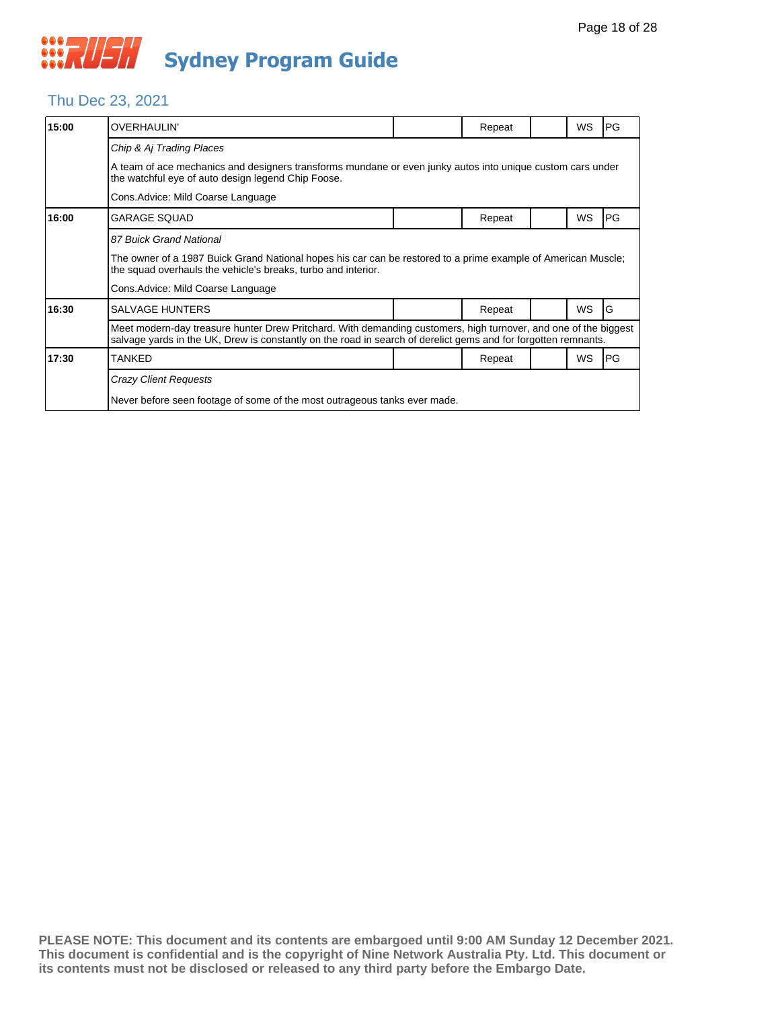### Thu Dec 23, 2021

| 15:00 | <b>OVERHAULIN'</b>                                                                                                                                                                                                                |  | Repeat |  | WS        | PG |  |  |  |
|-------|-----------------------------------------------------------------------------------------------------------------------------------------------------------------------------------------------------------------------------------|--|--------|--|-----------|----|--|--|--|
|       | Chip & Aj Trading Places                                                                                                                                                                                                          |  |        |  |           |    |  |  |  |
|       | A team of ace mechanics and designers transforms mundane or even junky autos into unique custom cars under<br>the watchful eye of auto design legend Chip Foose.                                                                  |  |        |  |           |    |  |  |  |
|       | Cons. Advice: Mild Coarse Language                                                                                                                                                                                                |  |        |  |           |    |  |  |  |
| 16:00 | <b>GARAGE SQUAD</b>                                                                                                                                                                                                               |  | Repeat |  | WS        | PG |  |  |  |
|       | 87 Buick Grand National                                                                                                                                                                                                           |  |        |  |           |    |  |  |  |
|       | The owner of a 1987 Buick Grand National hopes his car can be restored to a prime example of American Muscle;<br>the squad overhauls the vehicle's breaks, turbo and interior.                                                    |  |        |  |           |    |  |  |  |
|       | Cons. Advice: Mild Coarse Language                                                                                                                                                                                                |  |        |  |           |    |  |  |  |
| 16:30 | <b>SALVAGE HUNTERS</b>                                                                                                                                                                                                            |  | Repeat |  | <b>WS</b> | G  |  |  |  |
|       | Meet modern-day treasure hunter Drew Pritchard. With demanding customers, high turnover, and one of the biggest<br>salvage yards in the UK, Drew is constantly on the road in search of derelict gems and for forgotten remnants. |  |        |  |           |    |  |  |  |
| 17:30 | <b>TANKED</b>                                                                                                                                                                                                                     |  | Repeat |  | <b>WS</b> | PG |  |  |  |
|       | <b>Crazy Client Requests</b>                                                                                                                                                                                                      |  |        |  |           |    |  |  |  |
|       | Never before seen footage of some of the most outrageous tanks ever made.                                                                                                                                                         |  |        |  |           |    |  |  |  |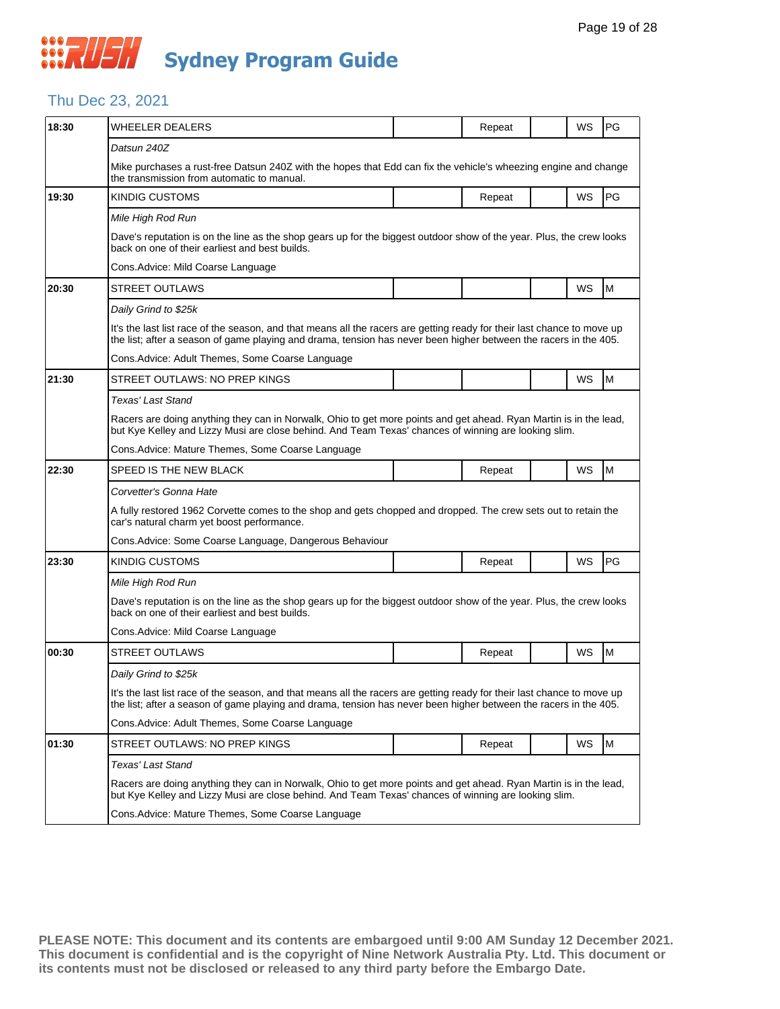#### Thu Dec 23, 2021

| 18:30 | WHEELER DEALERS                                                                                                                                                                                                                             |                                                                                                                                                                                                                           | Repeat |  | WS        | PG        |  |  |  |
|-------|---------------------------------------------------------------------------------------------------------------------------------------------------------------------------------------------------------------------------------------------|---------------------------------------------------------------------------------------------------------------------------------------------------------------------------------------------------------------------------|--------|--|-----------|-----------|--|--|--|
|       | Datsun 240Z                                                                                                                                                                                                                                 |                                                                                                                                                                                                                           |        |  |           |           |  |  |  |
|       | Mike purchases a rust-free Datsun 240Z with the hopes that Edd can fix the vehicle's wheezing engine and change<br>the transmission from automatic to manual.                                                                               |                                                                                                                                                                                                                           |        |  |           |           |  |  |  |
| 19:30 | KINDIG CUSTOMS                                                                                                                                                                                                                              |                                                                                                                                                                                                                           | Repeat |  | <b>WS</b> | PG        |  |  |  |
|       | Mile High Rod Run                                                                                                                                                                                                                           |                                                                                                                                                                                                                           |        |  |           |           |  |  |  |
|       | Dave's reputation is on the line as the shop gears up for the biggest outdoor show of the year. Plus, the crew looks<br>back on one of their earliest and best builds.                                                                      |                                                                                                                                                                                                                           |        |  |           |           |  |  |  |
|       | Cons. Advice: Mild Coarse Language                                                                                                                                                                                                          |                                                                                                                                                                                                                           |        |  |           |           |  |  |  |
| 20:30 | <b>STREET OUTLAWS</b>                                                                                                                                                                                                                       |                                                                                                                                                                                                                           |        |  | <b>WS</b> | M         |  |  |  |
|       | Daily Grind to \$25k                                                                                                                                                                                                                        |                                                                                                                                                                                                                           |        |  |           |           |  |  |  |
|       | It's the last list race of the season, and that means all the racers are getting ready for their last chance to move up<br>the list; after a season of game playing and drama, tension has never been higher between the racers in the 405. |                                                                                                                                                                                                                           |        |  |           |           |  |  |  |
|       | Cons.Advice: Adult Themes, Some Coarse Language                                                                                                                                                                                             |                                                                                                                                                                                                                           |        |  |           |           |  |  |  |
| 21:30 | STREET OUTLAWS: NO PREP KINGS                                                                                                                                                                                                               |                                                                                                                                                                                                                           |        |  | WS        | M         |  |  |  |
|       | Texas' Last Stand                                                                                                                                                                                                                           |                                                                                                                                                                                                                           |        |  |           |           |  |  |  |
|       | Racers are doing anything they can in Norwalk, Ohio to get more points and get ahead. Ryan Martin is in the lead,<br>but Kye Kelley and Lizzy Musi are close behind. And Team Texas' chances of winning are looking slim.                   |                                                                                                                                                                                                                           |        |  |           |           |  |  |  |
|       | Cons.Advice: Mature Themes, Some Coarse Language                                                                                                                                                                                            |                                                                                                                                                                                                                           |        |  |           |           |  |  |  |
| 22:30 | SPEED IS THE NEW BLACK                                                                                                                                                                                                                      |                                                                                                                                                                                                                           | Repeat |  | WS        | M         |  |  |  |
|       | Corvetter's Gonna Hate                                                                                                                                                                                                                      |                                                                                                                                                                                                                           |        |  |           |           |  |  |  |
|       | A fully restored 1962 Corvette comes to the shop and gets chopped and dropped. The crew sets out to retain the<br>car's natural charm yet boost performance.                                                                                |                                                                                                                                                                                                                           |        |  |           |           |  |  |  |
|       | Cons. Advice: Some Coarse Language, Dangerous Behaviour                                                                                                                                                                                     |                                                                                                                                                                                                                           |        |  |           |           |  |  |  |
| 23:30 | <b>KINDIG CUSTOMS</b>                                                                                                                                                                                                                       |                                                                                                                                                                                                                           | Repeat |  | WS        | <b>PG</b> |  |  |  |
|       | Mile High Rod Run                                                                                                                                                                                                                           |                                                                                                                                                                                                                           |        |  |           |           |  |  |  |
|       | Dave's reputation is on the line as the shop gears up for the biggest outdoor show of the year. Plus, the crew looks<br>back on one of their earliest and best builds.                                                                      |                                                                                                                                                                                                                           |        |  |           |           |  |  |  |
|       | Cons. Advice: Mild Coarse Language                                                                                                                                                                                                          |                                                                                                                                                                                                                           |        |  |           |           |  |  |  |
| 00:30 | <b>STREET OUTLAWS</b>                                                                                                                                                                                                                       |                                                                                                                                                                                                                           | Repeat |  | WS        | M         |  |  |  |
|       | Daily Grind to \$25k                                                                                                                                                                                                                        |                                                                                                                                                                                                                           |        |  |           |           |  |  |  |
|       | It's the last list race of the season, and that means all the racers are getting ready for their last chance to move up<br>the list; after a season of game playing and drama, tension has never been higher between the racers in the 405. |                                                                                                                                                                                                                           |        |  |           |           |  |  |  |
|       | Cons. Advice: Adult Themes, Some Coarse Language                                                                                                                                                                                            |                                                                                                                                                                                                                           |        |  |           |           |  |  |  |
| 01:30 | STREET OUTLAWS: NO PREP KINGS                                                                                                                                                                                                               |                                                                                                                                                                                                                           | Repeat |  | WS        | M         |  |  |  |
|       | Texas' Last Stand                                                                                                                                                                                                                           |                                                                                                                                                                                                                           |        |  |           |           |  |  |  |
|       |                                                                                                                                                                                                                                             | Racers are doing anything they can in Norwalk, Ohio to get more points and get ahead. Ryan Martin is in the lead,<br>but Kye Kelley and Lizzy Musi are close behind. And Team Texas' chances of winning are looking slim. |        |  |           |           |  |  |  |
|       | Cons. Advice: Mature Themes, Some Coarse Language                                                                                                                                                                                           |                                                                                                                                                                                                                           |        |  |           |           |  |  |  |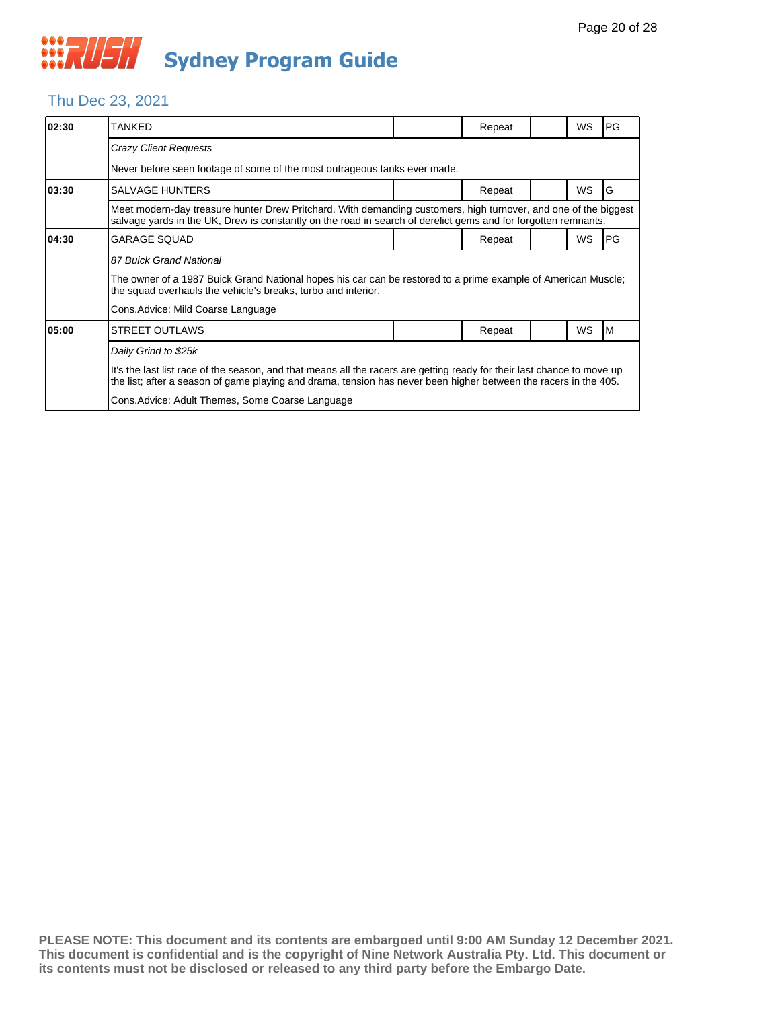### Thu Dec 23, 2021

| 02:30 | <b>TANKED</b>                                                                                                                                                                                                                               |  | Repeat |  | WS | PG |  |  |  |
|-------|---------------------------------------------------------------------------------------------------------------------------------------------------------------------------------------------------------------------------------------------|--|--------|--|----|----|--|--|--|
|       | Crazy Client Requests                                                                                                                                                                                                                       |  |        |  |    |    |  |  |  |
|       | Never before seen footage of some of the most outrageous tanks ever made.                                                                                                                                                                   |  |        |  |    |    |  |  |  |
| 03:30 | <b>SALVAGE HUNTERS</b>                                                                                                                                                                                                                      |  | Repeat |  | WS | G  |  |  |  |
|       | Meet modern-day treasure hunter Drew Pritchard. With demanding customers, high turnover, and one of the biggest<br>salvage yards in the UK, Drew is constantly on the road in search of derelict gems and for forgotten remnants.           |  |        |  |    |    |  |  |  |
| 04:30 | <b>GARAGE SQUAD</b>                                                                                                                                                                                                                         |  | Repeat |  | WS | PG |  |  |  |
|       | 87 Buick Grand National                                                                                                                                                                                                                     |  |        |  |    |    |  |  |  |
|       | The owner of a 1987 Buick Grand National hopes his car can be restored to a prime example of American Muscle;<br>the squad overhauls the vehicle's breaks, turbo and interior.                                                              |  |        |  |    |    |  |  |  |
|       | Cons. Advice: Mild Coarse Language                                                                                                                                                                                                          |  |        |  |    |    |  |  |  |
| 05:00 | <b>STREET OUTLAWS</b>                                                                                                                                                                                                                       |  | Repeat |  | WS | ΙM |  |  |  |
|       | Daily Grind to \$25k                                                                                                                                                                                                                        |  |        |  |    |    |  |  |  |
|       | It's the last list race of the season, and that means all the racers are getting ready for their last chance to move up<br>the list; after a season of game playing and drama, tension has never been higher between the racers in the 405. |  |        |  |    |    |  |  |  |
|       | Cons. Advice: Adult Themes, Some Coarse Language                                                                                                                                                                                            |  |        |  |    |    |  |  |  |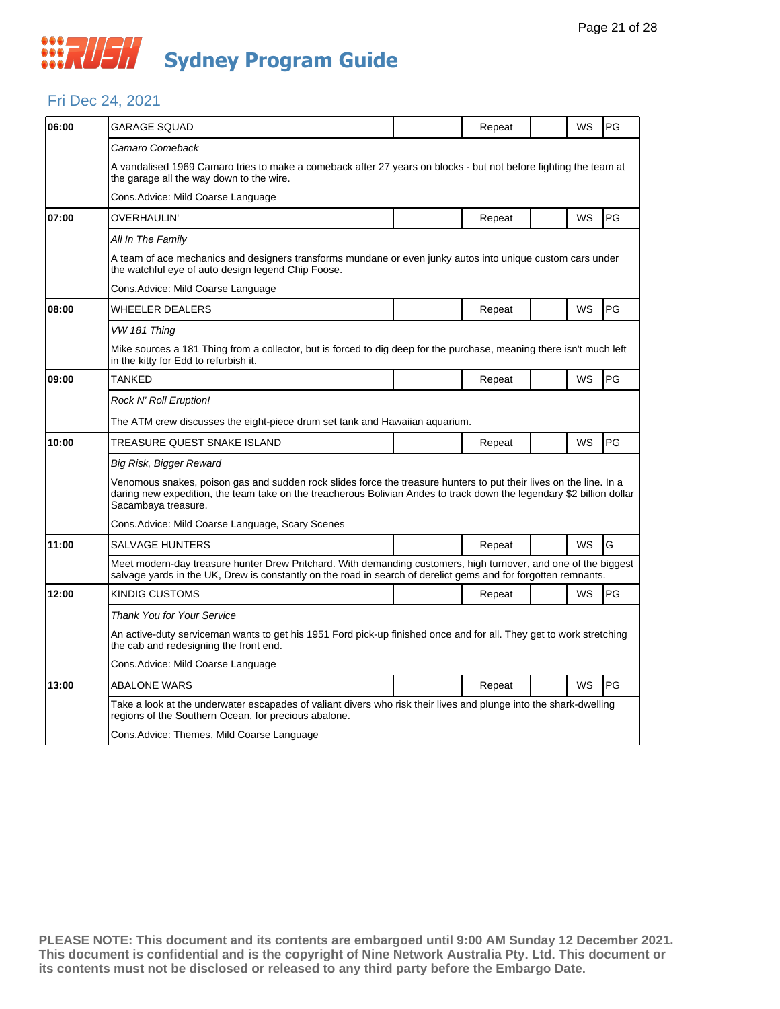#### Fri Dec 24, 2021

| 06:00 | GARAGE SOUAD                                                                                                                                                                                                                                                       |  | Repeat |  | WS | PG        |  |  |  |
|-------|--------------------------------------------------------------------------------------------------------------------------------------------------------------------------------------------------------------------------------------------------------------------|--|--------|--|----|-----------|--|--|--|
|       | Camaro Comeback                                                                                                                                                                                                                                                    |  |        |  |    |           |  |  |  |
|       | A vandalised 1969 Camaro tries to make a comeback after 27 years on blocks - but not before fighting the team at<br>the garage all the way down to the wire.                                                                                                       |  |        |  |    |           |  |  |  |
|       | Cons. Advice: Mild Coarse Language                                                                                                                                                                                                                                 |  |        |  |    |           |  |  |  |
| 07:00 | OVERHAULIN'                                                                                                                                                                                                                                                        |  | Repeat |  | WS | PG        |  |  |  |
|       | All In The Family                                                                                                                                                                                                                                                  |  |        |  |    |           |  |  |  |
|       | A team of ace mechanics and designers transforms mundane or even junky autos into unique custom cars under<br>the watchful eye of auto design legend Chip Foose.                                                                                                   |  |        |  |    |           |  |  |  |
|       | Cons.Advice: Mild Coarse Language                                                                                                                                                                                                                                  |  |        |  |    |           |  |  |  |
| 08:00 | WHEELER DEALERS                                                                                                                                                                                                                                                    |  | Repeat |  | WS | PG        |  |  |  |
|       | VW 181 Thing                                                                                                                                                                                                                                                       |  |        |  |    |           |  |  |  |
|       | Mike sources a 181 Thing from a collector, but is forced to dig deep for the purchase, meaning there isn't much left<br>in the kitty for Edd to refurbish it.                                                                                                      |  |        |  |    |           |  |  |  |
| 09:00 | TANKED                                                                                                                                                                                                                                                             |  | Repeat |  | WS | PG        |  |  |  |
|       | Rock N' Roll Eruption!                                                                                                                                                                                                                                             |  |        |  |    |           |  |  |  |
|       | The ATM crew discusses the eight-piece drum set tank and Hawaiian aquarium.                                                                                                                                                                                        |  |        |  |    |           |  |  |  |
| 10:00 | TREASURE QUEST SNAKE ISLAND                                                                                                                                                                                                                                        |  | Repeat |  | WS | PG        |  |  |  |
|       | Big Risk, Bigger Reward                                                                                                                                                                                                                                            |  |        |  |    |           |  |  |  |
|       | Venomous snakes, poison gas and sudden rock slides force the treasure hunters to put their lives on the line. In a<br>daring new expedition, the team take on the treacherous Bolivian Andes to track down the legendary \$2 billion dollar<br>Sacambaya treasure. |  |        |  |    |           |  |  |  |
|       | Cons.Advice: Mild Coarse Language, Scary Scenes                                                                                                                                                                                                                    |  |        |  |    |           |  |  |  |
| 11:00 | SALVAGE HUNTERS                                                                                                                                                                                                                                                    |  | Repeat |  | WS | G         |  |  |  |
|       | Meet modern-day treasure hunter Drew Pritchard. With demanding customers, high turnover, and one of the biggest<br>salvage yards in the UK, Drew is constantly on the road in search of derelict gems and for forgotten remnants.                                  |  |        |  |    |           |  |  |  |
| 12:00 | KINDIG CUSTOMS                                                                                                                                                                                                                                                     |  | Repeat |  | WS | <b>PG</b> |  |  |  |
|       | Thank You for Your Service                                                                                                                                                                                                                                         |  |        |  |    |           |  |  |  |
|       | An active-duty serviceman wants to get his 1951 Ford pick-up finished once and for all. They get to work stretching<br>the cab and redesigning the front end.                                                                                                      |  |        |  |    |           |  |  |  |
|       | Cons.Advice: Mild Coarse Language                                                                                                                                                                                                                                  |  |        |  |    |           |  |  |  |
| 13:00 | <b>ABALONE WARS</b>                                                                                                                                                                                                                                                |  | Repeat |  | WS | PG        |  |  |  |
|       | Take a look at the underwater escapades of valiant divers who risk their lives and plunge into the shark-dwelling<br>regions of the Southern Ocean, for precious abalone.                                                                                          |  |        |  |    |           |  |  |  |
|       | Cons. Advice: Themes, Mild Coarse Language                                                                                                                                                                                                                         |  |        |  |    |           |  |  |  |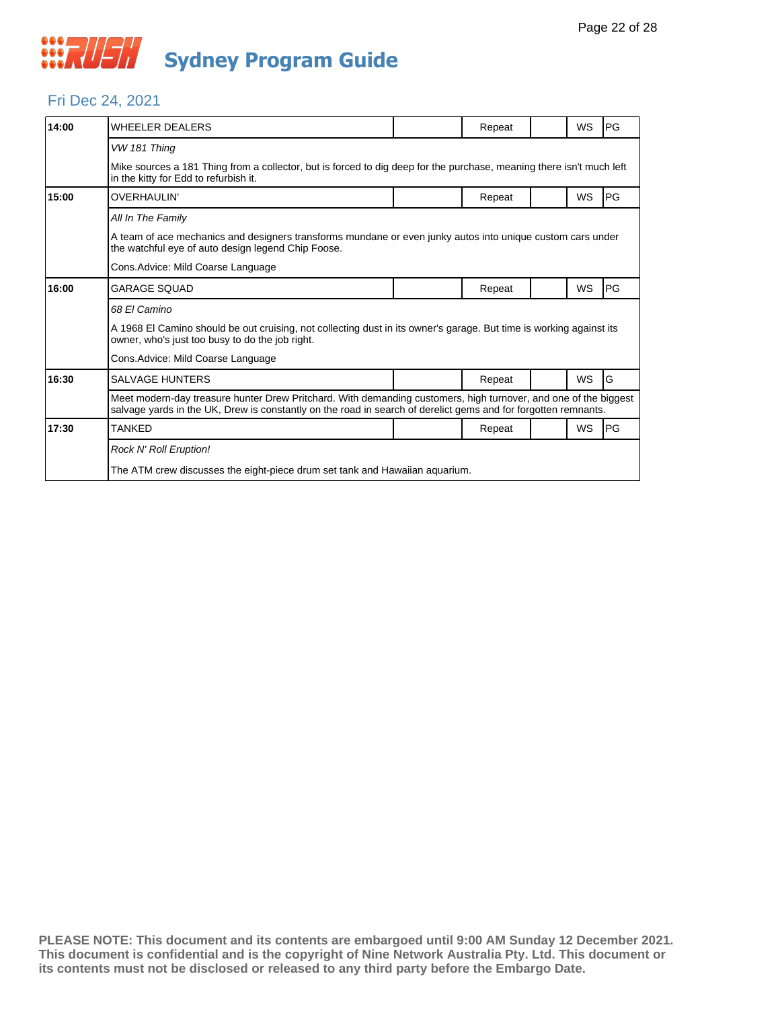### Fri Dec 24, 2021

| 14:00 | <b>WHEELER DEALERS</b>                                                                                                                                                                                                            |  | Repeat |  | WS        | PG |  |  |
|-------|-----------------------------------------------------------------------------------------------------------------------------------------------------------------------------------------------------------------------------------|--|--------|--|-----------|----|--|--|
|       | VW 181 Thing                                                                                                                                                                                                                      |  |        |  |           |    |  |  |
|       | Mike sources a 181 Thing from a collector, but is forced to dig deep for the purchase, meaning there isn't much left<br>in the kitty for Edd to refurbish it.                                                                     |  |        |  |           |    |  |  |
| 15:00 | <b>OVERHAULIN'</b>                                                                                                                                                                                                                |  | Repeat |  | WS        | PG |  |  |
|       | All In The Family                                                                                                                                                                                                                 |  |        |  |           |    |  |  |
|       | A team of ace mechanics and designers transforms mundane or even junky autos into unique custom cars under<br>the watchful eye of auto design legend Chip Foose.                                                                  |  |        |  |           |    |  |  |
|       | Cons. Advice: Mild Coarse Language                                                                                                                                                                                                |  |        |  |           |    |  |  |
| 16:00 | <b>GARAGE SOUAD</b>                                                                                                                                                                                                               |  | Repeat |  | WS        | PG |  |  |
|       | 68 El Camino                                                                                                                                                                                                                      |  |        |  |           |    |  |  |
|       | A 1968 El Camino should be out cruising, not collecting dust in its owner's garage. But time is working against its<br>owner, who's just too busy to do the job right.                                                            |  |        |  |           |    |  |  |
|       | Cons. Advice: Mild Coarse Language                                                                                                                                                                                                |  |        |  |           |    |  |  |
| 16:30 | <b>SALVAGE HUNTERS</b>                                                                                                                                                                                                            |  | Repeat |  | <b>WS</b> | G  |  |  |
|       | Meet modern-day treasure hunter Drew Pritchard. With demanding customers, high turnover, and one of the biggest<br>salvage yards in the UK, Drew is constantly on the road in search of derelict gems and for forgotten remnants. |  |        |  |           |    |  |  |
| 17:30 | TANKED                                                                                                                                                                                                                            |  | Repeat |  | WS        | PG |  |  |
|       | <b>Rock N' Roll Eruption!</b>                                                                                                                                                                                                     |  |        |  |           |    |  |  |
|       | The ATM crew discusses the eight-piece drum set tank and Hawaiian aquarium.                                                                                                                                                       |  |        |  |           |    |  |  |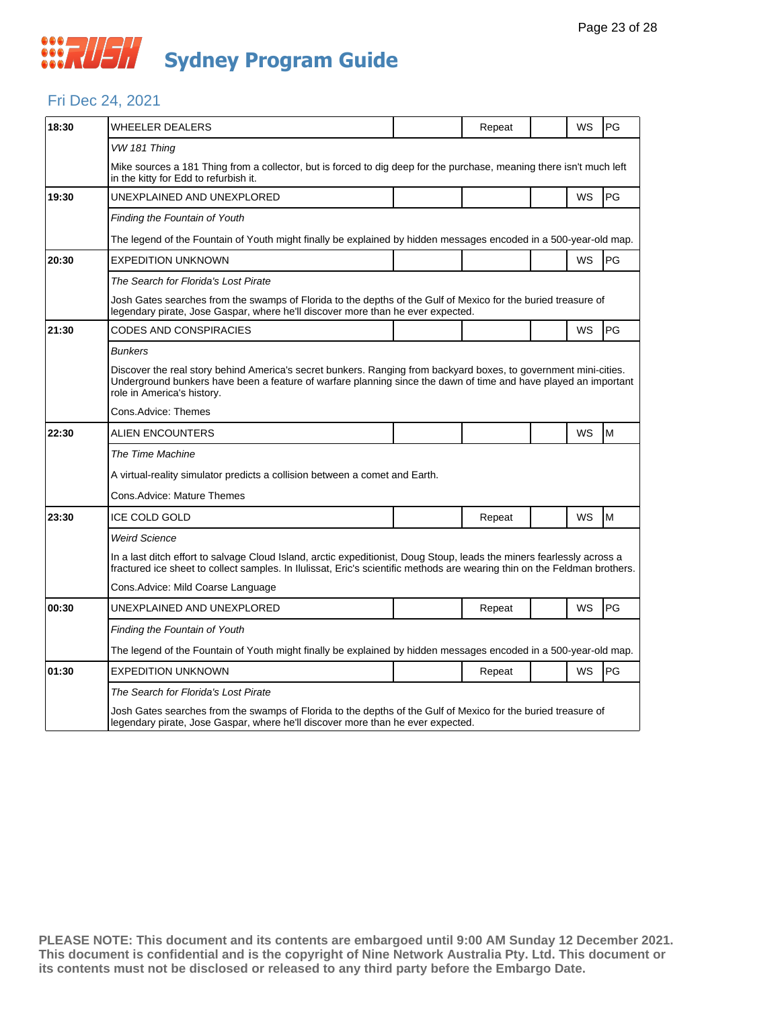#### Fri Dec 24, 2021

| 18:30 | WHEELER DEALERS                                                                                                                                                                                                                                                   |  | Repeat |  | WS | PG |  |  |  |
|-------|-------------------------------------------------------------------------------------------------------------------------------------------------------------------------------------------------------------------------------------------------------------------|--|--------|--|----|----|--|--|--|
|       | VW 181 Thing                                                                                                                                                                                                                                                      |  |        |  |    |    |  |  |  |
|       | Mike sources a 181 Thing from a collector, but is forced to dig deep for the purchase, meaning there isn't much left<br>in the kitty for Edd to refurbish it.                                                                                                     |  |        |  |    |    |  |  |  |
| 19:30 | UNEXPLAINED AND UNEXPLORED                                                                                                                                                                                                                                        |  |        |  | WS | PG |  |  |  |
|       | <b>Finding the Fountain of Youth</b>                                                                                                                                                                                                                              |  |        |  |    |    |  |  |  |
|       | The legend of the Fountain of Youth might finally be explained by hidden messages encoded in a 500-year-old map.                                                                                                                                                  |  |        |  |    |    |  |  |  |
| 20:30 | <b>EXPEDITION UNKNOWN</b>                                                                                                                                                                                                                                         |  |        |  | WS | PG |  |  |  |
|       | The Search for Florida's Lost Pirate                                                                                                                                                                                                                              |  |        |  |    |    |  |  |  |
|       | Josh Gates searches from the swamps of Florida to the depths of the Gulf of Mexico for the buried treasure of<br>legendary pirate, Jose Gaspar, where he'll discover more than he ever expected.                                                                  |  |        |  |    |    |  |  |  |
| 21:30 | CODES AND CONSPIRACIES                                                                                                                                                                                                                                            |  |        |  | WS | PG |  |  |  |
|       | <b>Bunkers</b>                                                                                                                                                                                                                                                    |  |        |  |    |    |  |  |  |
|       | Discover the real story behind America's secret bunkers. Ranging from backyard boxes, to government mini-cities.<br>Underground bunkers have been a feature of warfare planning since the dawn of time and have played an important<br>role in America's history. |  |        |  |    |    |  |  |  |
|       | Cons.Advice: Themes                                                                                                                                                                                                                                               |  |        |  |    |    |  |  |  |
| 22:30 | ALIEN ENCOUNTERS                                                                                                                                                                                                                                                  |  |        |  | WS | M  |  |  |  |
|       | The Time Machine                                                                                                                                                                                                                                                  |  |        |  |    |    |  |  |  |
|       | A virtual-reality simulator predicts a collision between a comet and Earth.                                                                                                                                                                                       |  |        |  |    |    |  |  |  |
|       | Cons.Advice: Mature Themes                                                                                                                                                                                                                                        |  |        |  |    |    |  |  |  |
| 23:30 | <b>ICE COLD GOLD</b>                                                                                                                                                                                                                                              |  | Repeat |  | WS | M  |  |  |  |
|       | <b>Weird Science</b>                                                                                                                                                                                                                                              |  |        |  |    |    |  |  |  |
|       | In a last ditch effort to salvage Cloud Island, arctic expeditionist, Doug Stoup, leads the miners fearlessly across a<br>fractured ice sheet to collect samples. In Ilulissat, Eric's scientific methods are wearing thin on the Feldman brothers.               |  |        |  |    |    |  |  |  |
|       | Cons.Advice: Mild Coarse Language                                                                                                                                                                                                                                 |  |        |  |    |    |  |  |  |
| 00:30 | UNEXPLAINED AND UNEXPLORED                                                                                                                                                                                                                                        |  | Repeat |  | WS | PG |  |  |  |
|       | Finding the Fountain of Youth                                                                                                                                                                                                                                     |  |        |  |    |    |  |  |  |
|       | The legend of the Fountain of Youth might finally be explained by hidden messages encoded in a 500-year-old map.                                                                                                                                                  |  |        |  |    |    |  |  |  |
| 01:30 | <b>EXPEDITION UNKNOWN</b>                                                                                                                                                                                                                                         |  | Repeat |  | WS | PG |  |  |  |
|       | The Search for Florida's Lost Pirate                                                                                                                                                                                                                              |  |        |  |    |    |  |  |  |
|       | Josh Gates searches from the swamps of Florida to the depths of the Gulf of Mexico for the buried treasure of<br>legendary pirate, Jose Gaspar, where he'll discover more than he ever expected.                                                                  |  |        |  |    |    |  |  |  |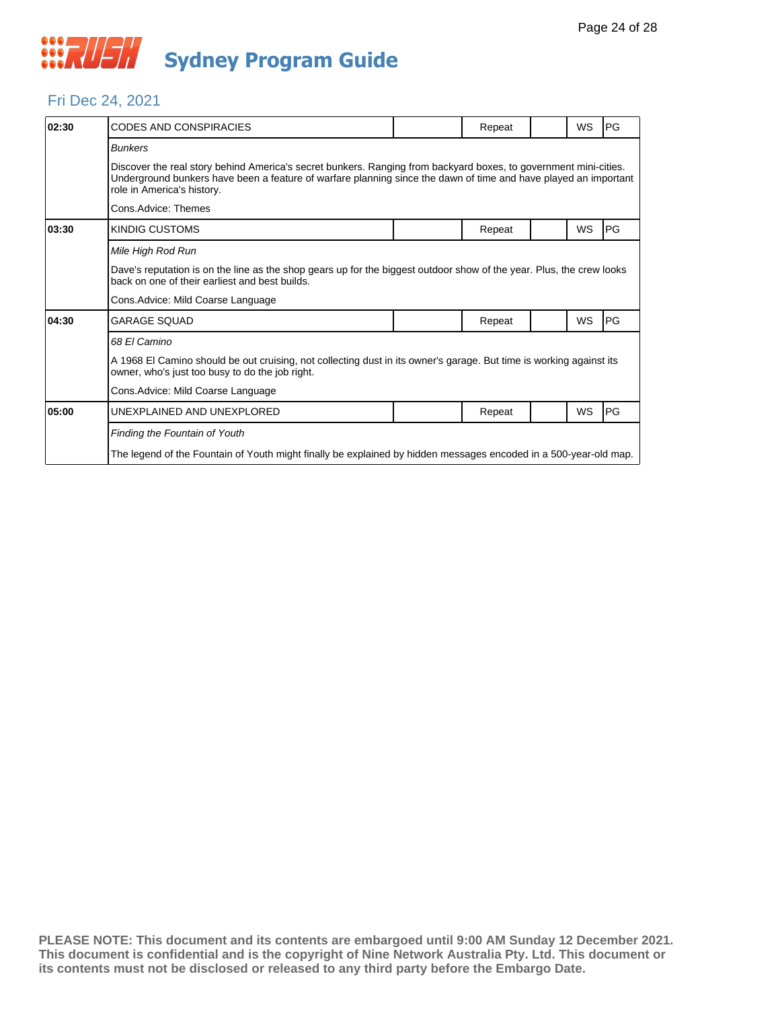

#### Fri Dec 24, 2021

| 02:30 | <b>CODES AND CONSPIRACIES</b>                                                                                                                                                                                                                                     |  | Repeat |  | <b>WS</b> | <b>IPG</b> |  |  |  |
|-------|-------------------------------------------------------------------------------------------------------------------------------------------------------------------------------------------------------------------------------------------------------------------|--|--------|--|-----------|------------|--|--|--|
|       | <b>Bunkers</b>                                                                                                                                                                                                                                                    |  |        |  |           |            |  |  |  |
|       | Discover the real story behind America's secret bunkers. Ranging from backyard boxes, to government mini-cities.<br>Underground bunkers have been a feature of warfare planning since the dawn of time and have played an important<br>role in America's history. |  |        |  |           |            |  |  |  |
|       | Cons.Advice: Themes                                                                                                                                                                                                                                               |  |        |  |           |            |  |  |  |
| 03:30 | KINDIG CUSTOMS                                                                                                                                                                                                                                                    |  | Repeat |  | WS        | <b>PG</b>  |  |  |  |
|       | Mile High Rod Run                                                                                                                                                                                                                                                 |  |        |  |           |            |  |  |  |
|       | Dave's reputation is on the line as the shop gears up for the biggest outdoor show of the year. Plus, the crew looks<br>back on one of their earliest and best builds.                                                                                            |  |        |  |           |            |  |  |  |
|       | Cons. Advice: Mild Coarse Language                                                                                                                                                                                                                                |  |        |  |           |            |  |  |  |
| 04:30 | <b>GARAGE SOUAD</b>                                                                                                                                                                                                                                               |  | Repeat |  | <b>WS</b> | <b>PG</b>  |  |  |  |
|       | 68 El Camino                                                                                                                                                                                                                                                      |  |        |  |           |            |  |  |  |
|       | A 1968 El Camino should be out cruising, not collecting dust in its owner's garage. But time is working against its<br>owner, who's just too busy to do the job right.                                                                                            |  |        |  |           |            |  |  |  |
|       | Cons. Advice: Mild Coarse Language                                                                                                                                                                                                                                |  |        |  |           |            |  |  |  |
| 05:00 | UNEXPLAINED AND UNEXPLORED                                                                                                                                                                                                                                        |  | Repeat |  | <b>WS</b> | PG         |  |  |  |
|       | Finding the Fountain of Youth                                                                                                                                                                                                                                     |  |        |  |           |            |  |  |  |
|       | The legend of the Fountain of Youth might finally be explained by hidden messages encoded in a 500-year-old map.                                                                                                                                                  |  |        |  |           |            |  |  |  |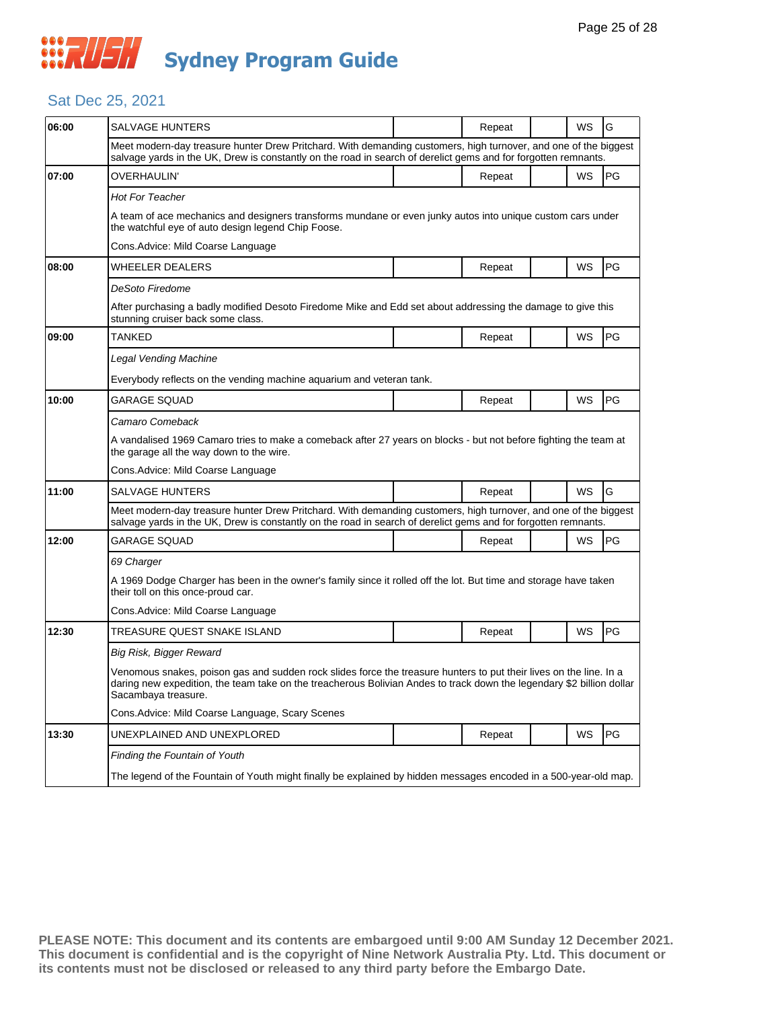## Sat Dec 25, 2021

| 06:00 | SALVAGE HUNTERS                                                                                                                                                                                                                                                    |  | Repeat |  | WS | G  |  |  |
|-------|--------------------------------------------------------------------------------------------------------------------------------------------------------------------------------------------------------------------------------------------------------------------|--|--------|--|----|----|--|--|
|       | Meet modern-day treasure hunter Drew Pritchard. With demanding customers, high turnover, and one of the biggest<br>salvage yards in the UK, Drew is constantly on the road in search of derelict gems and for forgotten remnants.                                  |  |        |  |    |    |  |  |
| 07:00 | OVERHAULIN'                                                                                                                                                                                                                                                        |  | Repeat |  | WS | PG |  |  |
|       | <b>Hot For Teacher</b>                                                                                                                                                                                                                                             |  |        |  |    |    |  |  |
|       | A team of ace mechanics and designers transforms mundane or even junky autos into unique custom cars under<br>the watchful eye of auto design legend Chip Foose.                                                                                                   |  |        |  |    |    |  |  |
|       | Cons. Advice: Mild Coarse Language                                                                                                                                                                                                                                 |  |        |  |    |    |  |  |
| 08:00 | <b>WHEELER DEALERS</b>                                                                                                                                                                                                                                             |  | Repeat |  | WS | PG |  |  |
|       | DeSoto Firedome                                                                                                                                                                                                                                                    |  |        |  |    |    |  |  |
|       | After purchasing a badly modified Desoto Firedome Mike and Edd set about addressing the damage to give this<br>stunning cruiser back some class.                                                                                                                   |  |        |  |    |    |  |  |
| 09:00 | TANKED                                                                                                                                                                                                                                                             |  | Repeat |  | WS | PG |  |  |
|       | Legal Vending Machine                                                                                                                                                                                                                                              |  |        |  |    |    |  |  |
|       | Everybody reflects on the vending machine aguarium and veteran tank.                                                                                                                                                                                               |  |        |  |    |    |  |  |
| 10:00 | GARAGE SQUAD                                                                                                                                                                                                                                                       |  | Repeat |  | WS | PG |  |  |
|       | Camaro Comeback                                                                                                                                                                                                                                                    |  |        |  |    |    |  |  |
|       | A vandalised 1969 Camaro tries to make a comeback after 27 years on blocks - but not before fighting the team at<br>the garage all the way down to the wire.                                                                                                       |  |        |  |    |    |  |  |
|       | Cons.Advice: Mild Coarse Language                                                                                                                                                                                                                                  |  |        |  |    |    |  |  |
| 11:00 | SALVAGE HUNTERS                                                                                                                                                                                                                                                    |  | Repeat |  | WS | G  |  |  |
|       | Meet modern-day treasure hunter Drew Pritchard. With demanding customers, high turnover, and one of the biggest<br>salvage yards in the UK, Drew is constantly on the road in search of derelict gems and for forgotten remnants.                                  |  |        |  |    |    |  |  |
| 12:00 | <b>GARAGE SQUAD</b>                                                                                                                                                                                                                                                |  | Repeat |  | WS | PG |  |  |
|       | 69 Charger                                                                                                                                                                                                                                                         |  |        |  |    |    |  |  |
|       | A 1969 Dodge Charger has been in the owner's family since it rolled off the lot. But time and storage have taken<br>their toll on this once-proud car.                                                                                                             |  |        |  |    |    |  |  |
|       | Cons. Advice: Mild Coarse Language                                                                                                                                                                                                                                 |  |        |  |    |    |  |  |
| 12:30 | TREASURE QUEST SNAKE ISLAND                                                                                                                                                                                                                                        |  | Repeat |  | WS | PG |  |  |
|       | Big Risk, Bigger Reward                                                                                                                                                                                                                                            |  |        |  |    |    |  |  |
|       | Venomous snakes, poison gas and sudden rock slides force the treasure hunters to put their lives on the line. In a<br>daring new expedition, the team take on the treacherous Bolivian Andes to track down the legendary \$2 billion dollar<br>Sacambaya treasure. |  |        |  |    |    |  |  |
|       | Cons. Advice: Mild Coarse Language, Scary Scenes                                                                                                                                                                                                                   |  |        |  |    |    |  |  |
| 13:30 | UNEXPLAINED AND UNEXPLORED                                                                                                                                                                                                                                         |  | Repeat |  | WS | PG |  |  |
|       | Finding the Fountain of Youth                                                                                                                                                                                                                                      |  |        |  |    |    |  |  |
|       | The legend of the Fountain of Youth might finally be explained by hidden messages encoded in a 500-year-old map.                                                                                                                                                   |  |        |  |    |    |  |  |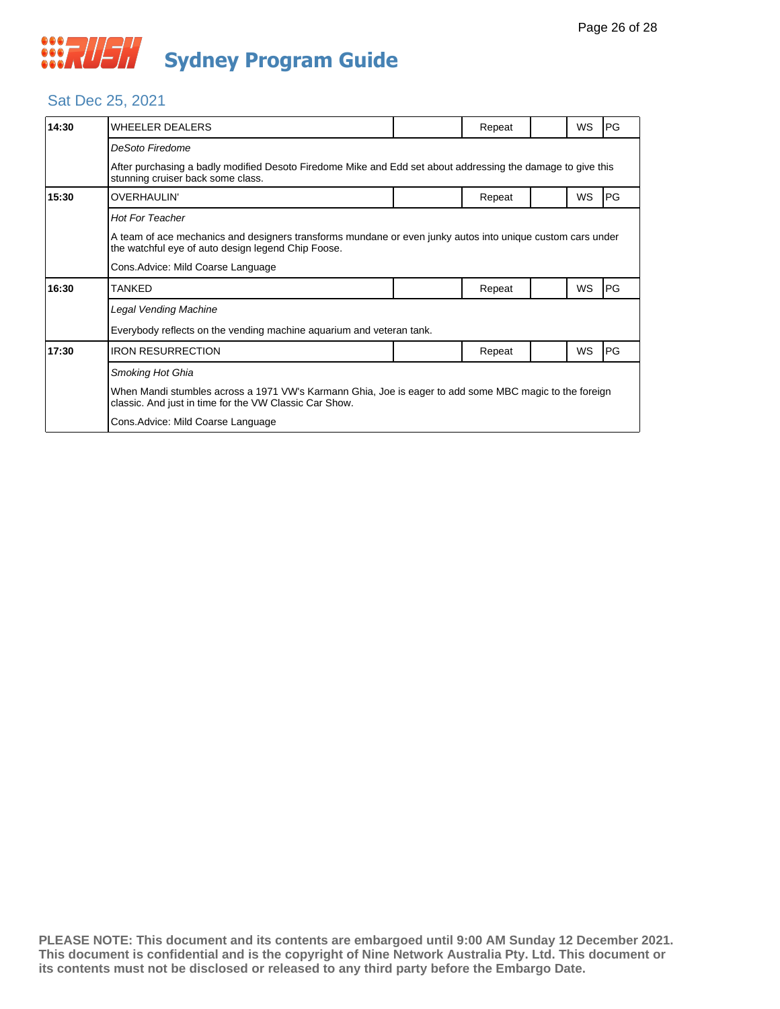## Sat Dec 25, 2021

| 14:30 | WHEELER DEALERS                                                                                                                                                  |  | Repeat |  | WS        | PG |  |  |
|-------|------------------------------------------------------------------------------------------------------------------------------------------------------------------|--|--------|--|-----------|----|--|--|
|       | DeSoto Firedome                                                                                                                                                  |  |        |  |           |    |  |  |
|       | After purchasing a badly modified Desoto Firedome Mike and Edd set about addressing the damage to give this<br>stunning cruiser back some class.                 |  |        |  |           |    |  |  |
| 15:30 | OVERHAULIN'                                                                                                                                                      |  | Repeat |  | WS        | PG |  |  |
|       | <b>Hot For Teacher</b>                                                                                                                                           |  |        |  |           |    |  |  |
|       | A team of ace mechanics and designers transforms mundane or even junky autos into unique custom cars under<br>the watchful eye of auto design legend Chip Foose. |  |        |  |           |    |  |  |
|       | Cons.Advice: Mild Coarse Language                                                                                                                                |  |        |  |           |    |  |  |
| 16:30 | TANKED                                                                                                                                                           |  | Repeat |  | <b>WS</b> | PG |  |  |
|       | <b>Legal Vending Machine</b>                                                                                                                                     |  |        |  |           |    |  |  |
|       | Everybody reflects on the vending machine aquarium and veteran tank.                                                                                             |  |        |  |           |    |  |  |
| 17:30 | <b>IRON RESURRECTION</b>                                                                                                                                         |  | Repeat |  | WS        | PG |  |  |
|       | Smoking Hot Ghia                                                                                                                                                 |  |        |  |           |    |  |  |
|       | When Mandi stumbles across a 1971 VW's Karmann Ghia, Joe is eager to add some MBC magic to the foreign<br>classic. And just in time for the VW Classic Car Show. |  |        |  |           |    |  |  |
|       | Cons.Advice: Mild Coarse Language                                                                                                                                |  |        |  |           |    |  |  |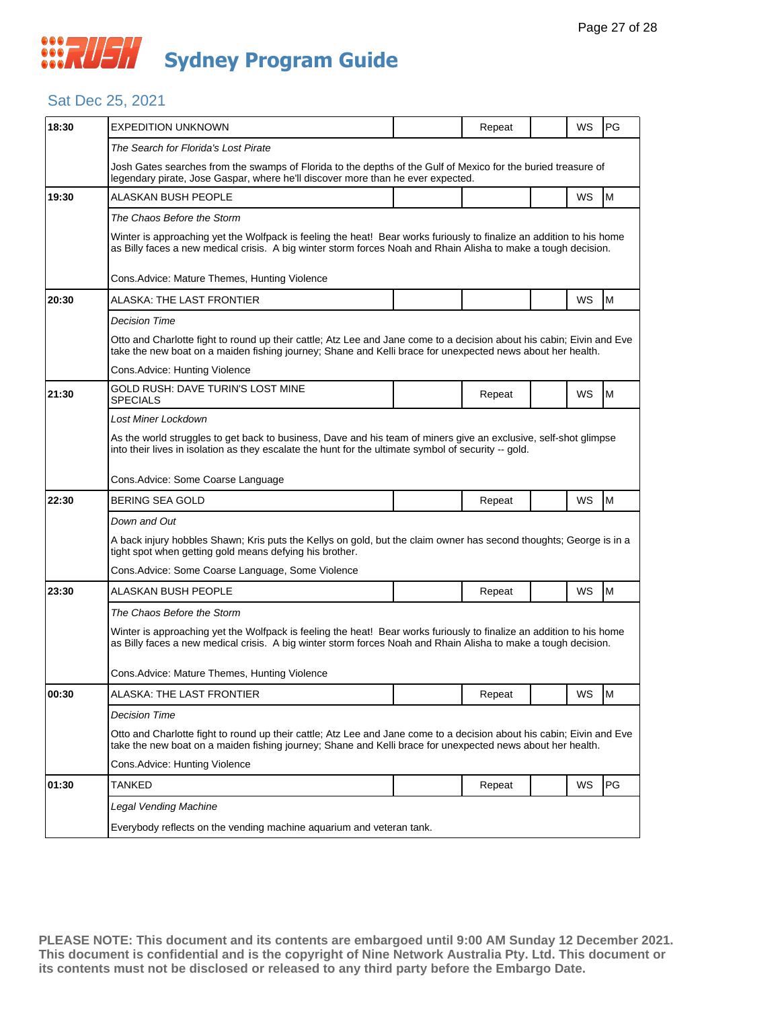## Sat Dec 25, 2021

| 18:30 | <b>EXPEDITION UNKNOWN</b>                                                                                                                                                                                                              |  | Repeat |  | WS | <b>PG</b> |  |  |  |
|-------|----------------------------------------------------------------------------------------------------------------------------------------------------------------------------------------------------------------------------------------|--|--------|--|----|-----------|--|--|--|
|       | The Search for Florida's Lost Pirate                                                                                                                                                                                                   |  |        |  |    |           |  |  |  |
|       | Josh Gates searches from the swamps of Florida to the depths of the Gulf of Mexico for the buried treasure of<br>legendary pirate, Jose Gaspar, where he'll discover more than he ever expected.                                       |  |        |  |    |           |  |  |  |
| 19:30 | ALASKAN BUSH PEOPLE                                                                                                                                                                                                                    |  |        |  | WS | M         |  |  |  |
|       | The Chaos Before the Storm                                                                                                                                                                                                             |  |        |  |    |           |  |  |  |
|       | Winter is approaching yet the Wolfpack is feeling the heat! Bear works furiously to finalize an addition to his home<br>as Billy faces a new medical crisis. A big winter storm forces Noah and Rhain Alisha to make a tough decision. |  |        |  |    |           |  |  |  |
|       | Cons. Advice: Mature Themes, Hunting Violence                                                                                                                                                                                          |  |        |  |    |           |  |  |  |
| 20:30 | ALASKA: THE LAST FRONTIER                                                                                                                                                                                                              |  |        |  | WS | M         |  |  |  |
|       | Decision Time                                                                                                                                                                                                                          |  |        |  |    |           |  |  |  |
|       | Otto and Charlotte fight to round up their cattle; Atz Lee and Jane come to a decision about his cabin; Eivin and Eve<br>take the new boat on a maiden fishing journey; Shane and Kelli brace for unexpected news about her health.    |  |        |  |    |           |  |  |  |
|       | Cons. Advice: Hunting Violence                                                                                                                                                                                                         |  |        |  |    |           |  |  |  |
| 21:30 | GOLD RUSH: DAVE TURIN'S LOST MINE<br><b>SPECIALS</b>                                                                                                                                                                                   |  | Repeat |  | WS | M         |  |  |  |
|       | Lost Miner Lockdown                                                                                                                                                                                                                    |  |        |  |    |           |  |  |  |
|       | As the world struggles to get back to business, Dave and his team of miners give an exclusive, self-shot glimpse<br>into their lives in isolation as they escalate the hunt for the ultimate symbol of security -- gold.               |  |        |  |    |           |  |  |  |
|       | Cons. Advice: Some Coarse Language                                                                                                                                                                                                     |  |        |  |    |           |  |  |  |
| 22:30 | <b>BERING SEA GOLD</b>                                                                                                                                                                                                                 |  | Repeat |  | WS | M         |  |  |  |
|       | Down and Out                                                                                                                                                                                                                           |  |        |  |    |           |  |  |  |
|       | A back injury hobbles Shawn; Kris puts the Kellys on gold, but the claim owner has second thoughts; George is in a<br>tight spot when getting gold means defying his brother.                                                          |  |        |  |    |           |  |  |  |
|       | Cons.Advice: Some Coarse Language, Some Violence                                                                                                                                                                                       |  |        |  |    |           |  |  |  |
| 23:30 | ALASKAN BUSH PEOPLE                                                                                                                                                                                                                    |  | Repeat |  | WS | M         |  |  |  |
|       | The Chaos Before the Storm                                                                                                                                                                                                             |  |        |  |    |           |  |  |  |
|       | Winter is approaching yet the Wolfpack is feeling the heat! Bear works furiously to finalize an addition to his home<br>as Billy faces a new medical crisis. A big winter storm forces Noah and Rhain Alisha to make a tough decision. |  |        |  |    |           |  |  |  |
|       | Cons. Advice: Mature Themes, Hunting Violence                                                                                                                                                                                          |  |        |  |    |           |  |  |  |
| 00:30 | <b>ALASKA: THE LAST FRONTIER</b>                                                                                                                                                                                                       |  | Repeat |  | WS | Iм        |  |  |  |
|       | Decision Time                                                                                                                                                                                                                          |  |        |  |    |           |  |  |  |
|       | Otto and Charlotte fight to round up their cattle; Atz Lee and Jane come to a decision about his cabin; Eivin and Eve<br>take the new boat on a maiden fishing journey; Shane and Kelli brace for unexpected news about her health.    |  |        |  |    |           |  |  |  |
|       | Cons.Advice: Hunting Violence                                                                                                                                                                                                          |  |        |  |    |           |  |  |  |
| 01:30 | TANKED                                                                                                                                                                                                                                 |  | Repeat |  | WS | PG        |  |  |  |
|       | <b>Legal Vending Machine</b>                                                                                                                                                                                                           |  |        |  |    |           |  |  |  |
|       | Everybody reflects on the vending machine aquarium and veteran tank.                                                                                                                                                                   |  |        |  |    |           |  |  |  |